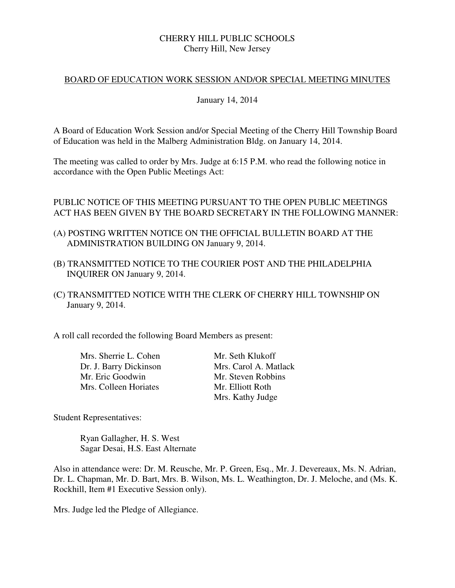# CHERRY HILL PUBLIC SCHOOLS Cherry Hill, New Jersey

# BOARD OF EDUCATION WORK SESSION AND/OR SPECIAL MEETING MINUTES

### January 14, 2014

 A Board of Education Work Session and/or Special Meeting of the Cherry Hill Township Board of Education was held in the Malberg Administration Bldg. on January 14, 2014.

 The meeting was called to order by Mrs. Judge at 6:15 P.M. who read the following notice in accordance with the Open Public Meetings Act:

# PUBLIC NOTICE OF THIS MEETING PURSUANT TO THE OPEN PUBLIC MEETINGS ACT HAS BEEN GIVEN BY THE BOARD SECRETARY IN THE FOLLOWING MANNER:

- (A) POSTING WRITTEN NOTICE ON THE OFFICIAL BULLETIN BOARD AT THE ADMINISTRATION BUILDING ON January 9, 2014.
- (B) TRANSMITTED NOTICE TO THE COURIER POST AND THE PHILADELPHIA INQUIRER ON January 9, 2014.
- (C) TRANSMITTED NOTICE WITH THE CLERK OF CHERRY HILL TOWNSHIP ON January 9, 2014.

A roll call recorded the following Board Members as present:

Mrs. Sherrie L. Cohen Mr. Seth Klukoff Mrs. Colleen Horiates Mr. Elliott Roth

Dr. J. Barry Dickinson<br>
Mrs. Carol A. Matlack<br>
Mr. Steven Robbins Mr. Steven Robbins Mrs. Kathy Judge

Student Representatives:

 Sagar Desai, H.S. East Alternate Ryan Gallagher, H. S. West

 Also in attendance were: Dr. M. Reusche, Mr. P. Green, Esq., Mr. J. Devereaux, Ms. N. Adrian, Dr. L. Chapman, Mr. D. Bart, Mrs. B. Wilson, Ms. L. Weathington, Dr. J. Meloche, and (Ms. K. Rockhill, Item #1 Executive Session only).

Mrs. Judge led the Pledge of Allegiance.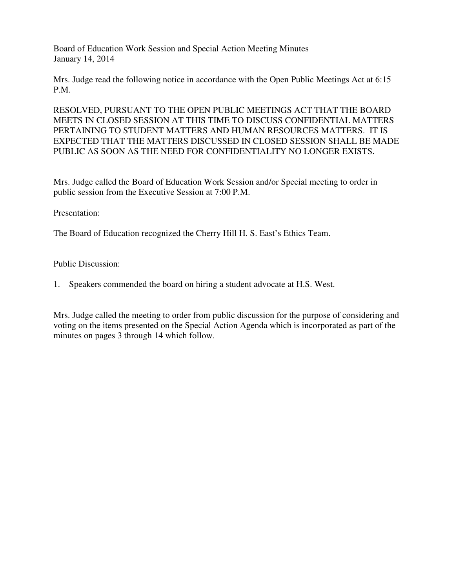Board of Education Work Session and Special Action Meeting Minutes January 14, 2014

 Mrs. Judge read the following notice in accordance with the Open Public Meetings Act at 6:15  $P.M.$ 

P.M.<br>RESOLVED, PURSUANT TO THE OPEN PUBLIC MEETINGS ACT THAT THE BOARD MEETS IN CLOSED SESSION AT THIS TIME TO DISCUSS CONFIDENTIAL MATTERS PERTAINING TO STUDENT MATTERS AND HUMAN RESOURCES MATTERS. IT IS EXPECTED THAT THE MATTERS DISCUSSED IN CLOSED SESSION SHALL BE MADE PUBLIC AS SOON AS THE NEED FOR CONFIDENTIALITY NO LONGER EXISTS.

 Mrs. Judge called the Board of Education Work Session and/or Special meeting to order in public session from the Executive Session at 7:00 P.M.

Presentation:

The Board of Education recognized the Cherry Hill H. S. East's Ethics Team.

Public Discussion:

1. Speakers commended the board on hiring a student advocate at H.S. West.

 Mrs. Judge called the meeting to order from public discussion for the purpose of considering and voting on the items presented on the Special Action Agenda which is incorporated as part of the minutes on pages 3 through 14 which follow.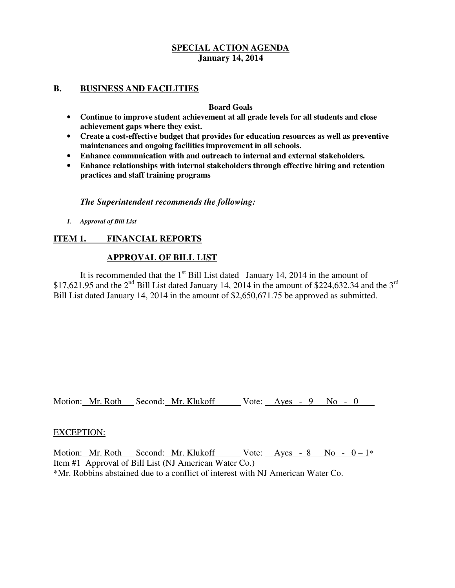# **B. BUSINESS AND FACILITIES**

### **Board Goals**

- **Continue to improve student achievement at all grade levels for all students and close achievement gaps where they exist.**
- **Create a cost-effective budget that provides for education resources as well as preventive maintenances and ongoing facilities improvement in all schools.**
- **Enhance communication with and outreach to internal and external stakeholders.**
- **Enhance relationships with internal stakeholders through effective hiring and retention practices and staff training programs**

# *The Superintendent recommends the following:*

 *1. Approval of Bill List* 

# **ITEM 1. FINANCIAL REPORTS**

# **APPROVAL OF BILL LIST**

\$17,621.95 and the 2<sup>nd</sup> Bill List dated January 14, 2014 in the amount of \$224,632.34 and the 3<sup>rd</sup> Bill List dated January 14, 2014 in the amount of \$2,650,671.75 be approved as submitted. It is recommended that the  $1<sup>st</sup>$  Bill List dated January 14, 2014 in the amount of

Motion: Mr. Roth Second: Mr. Klukoff Vote: Ayes - 9 No - 0

### EXCEPTION:

Motion: Mr. Roth Second: Mr. Klukoff Vote: Ayes - 8 No -  $0-1^*$ Item #1 Approval of Bill List (NJ American Water Co.) \*Mr. Robbins abstained due to a conflict of interest with NJ American Water Co.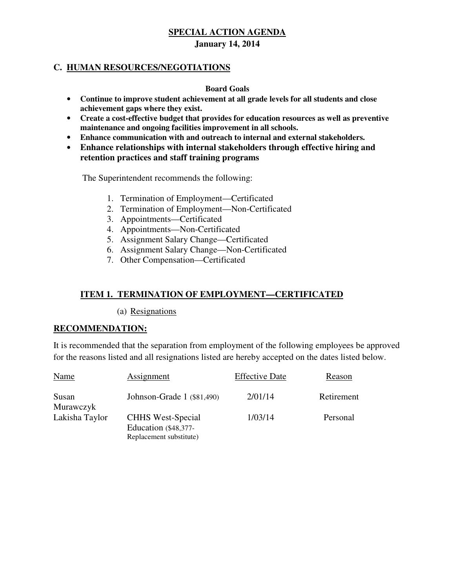# **C. HUMAN RESOURCES/NEGOTIATIONS**

### **Board Goals**

- **Continue to improve student achievement at all grade levels for all students and close achievement gaps where they exist.**
- **Create a cost-effective budget that provides for education resources as well as preventive maintenance and ongoing facilities improvement in all schools.**
- **Enhance communication with and outreach to internal and external stakeholders.**
- **Enhance relationships with internal stakeholders through effective hiring and retention practices and staff training programs**

The Superintendent recommends the following:

- 1. Termination of Employment—Certificated
- 2. Termination of Employment—Non-Certificated
- 3. Appointments—Certificated
- 4. Appointments—Non-Certificated
- 5. Assignment Salary Change—Certificated
- 6. Assignment Salary Change—Non-Certificated
- 7. Other Compensation—Certificated

# **ITEM 1. TERMINATION OF EMPLOYMENT—CERTIFICATED**

(a) Resignations

### **RECOMMENDATION:**

 It is recommended that the separation from employment of the following employees be approved for the reasons listed and all resignations listed are hereby accepted on the dates listed below.

| Name               | Assignment                                                                  | <b>Effective Date</b> | Reason     |
|--------------------|-----------------------------------------------------------------------------|-----------------------|------------|
| Susan<br>Murawczyk | Johnson-Grade 1 (\$81,490)                                                  | 2/01/14               | Retirement |
| Lakisha Taylor     | <b>CHHS</b> West-Special<br>Education (\$48,377-<br>Replacement substitute) | 1/03/14               | Personal   |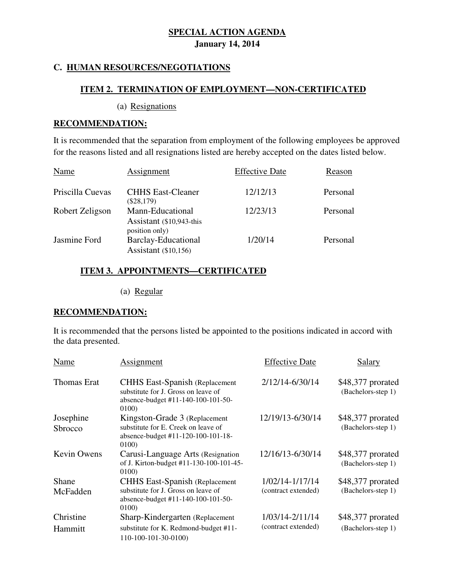# **C. HUMAN RESOURCES/NEGOTIATIONS**

# **ITEM 2. TERMINATION OF EMPLOYMENT—NON-CERTIFICATED**

(a) Resignations

### **RECOMMENDATION:**

 It is recommended that the separation from employment of the following employees be approved for the reasons listed and all resignations listed are hereby accepted on the dates listed below.

| Name             | Assignment                                                     | <b>Effective Date</b> | Reason   |
|------------------|----------------------------------------------------------------|-----------------------|----------|
| Priscilla Cuevas | <b>CHHS East-Cleaner</b><br>$(\$28,179)$                       | 12/12/13              | Personal |
| Robert Zeligson  | Mann-Educational<br>Assistant (\$10,943-this<br>position only) | 12/23/13              | Personal |
| Jasmine Ford     | Barclay-Educational<br>Assistant $(\$10,156)$                  | 1/20/14               | Personal |

# **ITEM 3. APPOINTMENTS—CERTIFICATED**

(a) Regular

# **RECOMMENDATION:**

 It is recommended that the persons listed be appointed to the positions indicated in accord with the data presented.

| Name                 | Assignment                                                                                                                    | <b>Effective Date</b>                  | Salary                                  |
|----------------------|-------------------------------------------------------------------------------------------------------------------------------|----------------------------------------|-----------------------------------------|
| <b>Thomas Erat</b>   | <b>CHHS East-Spanish (Replacement)</b><br>substitute for J. Gross on leave of<br>absence-budget #11-140-100-101-50-<br>0100)  | 2/12/14-6/30/14                        | \$48,377 prorated<br>(Bachelors-step 1) |
| Josephine<br>Sbrocco | Kingston-Grade 3 (Replacement<br>substitute for E. Creek on leave of<br>absence-budget #11-120-100-101-18-<br>0100)           | 12/19/13-6/30/14                       | \$48,377 prorated<br>(Bachelors-step 1) |
| <b>Kevin Owens</b>   | Carusi-Language Arts (Resignation<br>of J. Kirton-budget #11-130-100-101-45-<br>0100)                                         | 12/16/13-6/30/14                       | \$48,377 prorated<br>(Bachelors-step 1) |
| Shane<br>McFadden    | <b>CHHS East-Spanish (Replacement</b> )<br>substitute for J. Gross on leave of<br>absence-budget #11-140-100-101-50-<br>0100) | 1/02/14-1/17/14<br>(contract extended) | \$48,377 prorated<br>(Bachelors-step 1) |
| Christine<br>Hammitt | Sharp-Kindergarten (Replacement<br>substitute for K. Redmond-budget #11-<br>110-100-101-30-0100)                              | 1/03/14-2/11/14<br>(contract extended) | \$48,377 prorated<br>(Bachelors-step 1) |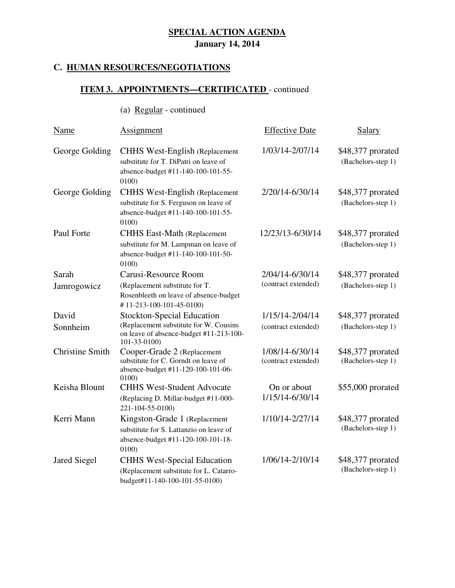### **C. HUMAN RESOURCES/NEGOTIATIONS**

(a) Regular - continued

### **ITEM 3. APPOINTMENTS—CERTIFICATED** - continued

| Name                   | Assignment                                                                                                                     | <b>Effective Date</b>                  | <b>Salary</b>                           |
|------------------------|--------------------------------------------------------------------------------------------------------------------------------|----------------------------------------|-----------------------------------------|
| George Golding         | <b>CHHS West-English (Replacement</b><br>substitute for T. DiPatri on leave of<br>absence-budget #11-140-100-101-55-<br>0100)  | 1/03/14-2/07/14                        | \$48,377 prorated<br>(Bachelors-step 1) |
| George Golding         | <b>CHHS West-English (Replacement</b><br>substitute for S. Ferguson on leave of<br>absence-budget #11-140-100-101-55-<br>0100) | 2/20/14-6/30/14                        | \$48,377 prorated<br>(Bachelors-step 1) |
| Paul Forte             | <b>CHHS East-Math (Replacement</b><br>substitute for M. Lampman on leave of<br>absence-budget #11-140-100-101-50-<br>0100)     | 12/23/13-6/30/14                       | \$48,377 prorated<br>(Bachelors-step 1) |
| Sarah                  | Carusi-Resource Room                                                                                                           | 2/04/14-6/30/14                        | \$48,377 prorated                       |
| Jamrogowicz            | (Replacement substitute for T.<br>Rosenbleeth on leave of absence-budget<br>#11-213-100-101-45-0100)                           | (contract extended)                    | (Bachelors-step 1)                      |
| David                  | <b>Stockton-Special Education</b>                                                                                              | 1/15/14-2/04/14                        | \$48,377 prorated                       |
| Sonnheim               | (Replacement substitute for W. Cousins<br>on leave of absence-budget #11-213-100-<br>$101 - 33 - 0100$                         | (contract extended)                    | (Bachelors-step 1)                      |
| <b>Christine Smith</b> | Cooper-Grade 2 (Replacement<br>substitute for C. Gorndt on leave of<br>absence-budget #11-120-100-101-06-<br>0100)             | 1/08/14-6/30/14<br>(contract extended) | \$48,377 prorated<br>(Bachelors-step 1) |
| Keisha Blount          | <b>CHHS West-Student Advocate</b><br>(Replacing D. Millar-budget #11-000-<br>221-104-55-0100)                                  | On or about<br>1/15/14-6/30/14         | \$55,000 prorated                       |
| Kerri Mann             | Kingston-Grade 1 (Replacement<br>substitute for S. Lattanzio on leave of<br>absence-budget #11-120-100-101-18-<br>0100)        | 1/10/14-2/27/14                        | \$48,377 prorated<br>(Bachelors-step 1) |
| <b>Jared Siegel</b>    | <b>CHHS West-Special Education</b><br>(Replacement substitute for L. Catarro-<br>budget#11-140-100-101-55-0100)                | 1/06/14-2/10/14                        | \$48,377 prorated<br>(Bachelors-step 1) |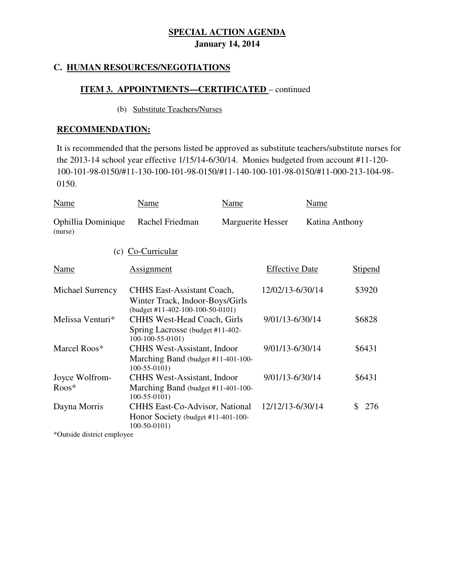# **C. HUMAN RESOURCES/NEGOTIATIONS**

# **ITEM 3. APPOINTMENTS—CERTIFICATED** – continued

### (b) Substitute Teachers/Nurses

### **RECOMMENDATION:**

 It is recommended that the persons listed be approved as substitute teachers/substitute nurses for the 2013-14 school year effective 1/15/14-6/30/14. Monies budgeted from account #11-120- 100-101-98-0150/#11-130-100-101-98-0150/#11-140-100-101-98-0150/#11-000-213-104-98- 0150.

| Name                          | Name                                                                                                                              | Name              |                       | Name           |                |
|-------------------------------|-----------------------------------------------------------------------------------------------------------------------------------|-------------------|-----------------------|----------------|----------------|
| Ophillia Dominique<br>(nurse) | Rachel Friedman                                                                                                                   | Marguerite Hesser |                       | Katina Anthony |                |
| (c)                           | Co-Curricular                                                                                                                     |                   |                       |                |                |
| Name                          | <b>Assignment</b>                                                                                                                 |                   | <b>Effective Date</b> |                | <b>Stipend</b> |
| Michael Surrency              | <b>CHHS East-Assistant Coach,</b><br>Winter Track, Indoor-Boys/Girls                                                              |                   | 12/02/13-6/30/14      |                | \$3920         |
| Melissa Venturi*              | $(budget #11-402-100-100-50-0101)$<br><b>CHHS West-Head Coach, Girls</b><br>Spring Lacrosse (budget #11-402-<br>$100-100-55-0101$ |                   | 9/01/13-6/30/14       |                | \$6828         |
| Marcel Roos*                  | <b>CHHS West-Assistant, Indoor</b><br>Marching Band (budget #11-401-100-<br>$100-55-0101$                                         |                   | 9/01/13-6/30/14       |                | \$6431         |
| Joyce Wolfrom-<br>$R$ oos $*$ | <b>CHHS West-Assistant, Indoor</b><br>Marching Band (budget #11-401-100-<br>$100-55-0101$                                         |                   | 9/01/13-6/30/14       |                | \$6431         |
| Dayna Morris                  | <b>CHHS East-Co-Advisor, National</b><br>Honor Society (budget #11-401-100-<br>$100-50-0101$                                      |                   | 12/12/13-6/30/14      |                | 276<br>\$      |

\*Outside district employee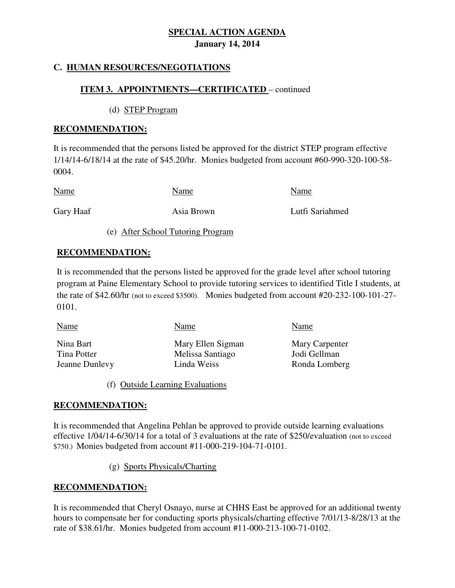# **C. HUMAN RESOURCES/NEGOTIATIONS**

# **ITEM 3. APPOINTMENTS—CERTIFICATED** – continued

(d) STEP Program

# **RECOMMENDATION:**

 It is recommended that the persons listed be approved for the district STEP program effective 1/14/14-6/18/14 at the rate of \$45.20/hr. Monies budgeted from account #60-990-320-100-58- 0004.

| <b>Name</b> | Name       | Name            |
|-------------|------------|-----------------|
| Gary Haaf   | Asia Brown | Lutfi Sariahmed |

(e) After School Tutoring Program

# **RECOMMENDATION:**

 It is recommended that the persons listed be approved for the grade level after school tutoring program at Paine Elementary School to provide tutoring services to identified Title I students, at the rate of \$42.60/hr (not to exceed \$3500). Monies budgeted from account #20-232-100-101-27-  $0101.$ 

| 0101.                                      |                                                      |                                                 |
|--------------------------------------------|------------------------------------------------------|-------------------------------------------------|
| Name                                       | Name                                                 | Name                                            |
| Nina Bart<br>Tina Potter<br>Jeanne Dunlevy | Mary Ellen Sigman<br>Melissa Santiago<br>Linda Weiss | Mary Carpenter<br>Jodi Gellman<br>Ronda Lomberg |

(f) Outside Learning Evaluations

# **RECOMMENDATION:**

 It is recommended that Angelina Pehlan be approved to provide outside learning evaluations effective 1/04/14-6/30/14 for a total of 3 evaluations at the rate of \$250/evaluation (not to exceed \$750.) Monies budgeted from account #11-000-219-104-71-0101.

(g) Sports Physicals/Charting

# **RECOMMENDATION:**

 It is recommended that Cheryl Osnayo, nurse at CHHS East be approved for an additional twenty hours to compensate her for conducting sports physicals/charting effective 7/01/13-8/28/13 at the rate of \$38.61/hr. Monies budgeted from account #11-000-213-100-71-0102.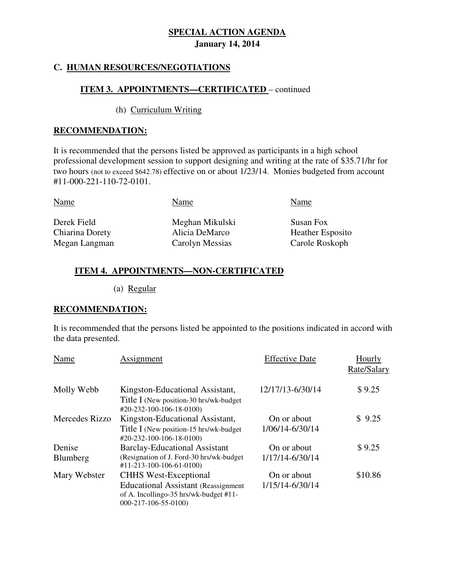# **C. HUMAN RESOURCES/NEGOTIATIONS**

# **ITEM 3. APPOINTMENTS—CERTIFICATED** – continued

### (h) Curriculum Writing

### **RECOMMENDATION:**

 It is recommended that the persons listed be approved as participants in a high school professional development session to support designing and writing at the rate of \$35.71/hr for two hours (not to exceed \$642.78) effective on or about 1/23/14. Monies budgeted from account #11-000-221-110-72-0101.

| <b>Name</b>     | Name            | Name                    |
|-----------------|-----------------|-------------------------|
| Derek Field     | Meghan Mikulski | Susan Fox               |
| Chiarina Dorety | Alicia DeMarco  | <b>Heather Esposito</b> |
| Megan Langman   | Carolyn Messias | Carole Roskoph          |

# **ITEM 4. APPOINTMENTS—NON-CERTIFICATED**

(a) Regular

### **RECOMMENDATION:**

 It is recommended that the persons listed be appointed to the positions indicated in accord with the data presented.

| Name               | Assignment                                                                                                                                     | <b>Effective Date</b>          | Hourly<br>Rate/Salary |
|--------------------|------------------------------------------------------------------------------------------------------------------------------------------------|--------------------------------|-----------------------|
| Molly Webb         | Kingston-Educational Assistant,<br>Title I (New position-30 hrs/wk-budget)<br>$\text{\#20-232-100-106-18-0100}$                                | 12/17/13-6/30/14               | \$9.25                |
| Mercedes Rizzo     | Kingston-Educational Assistant,<br>Title I (New position-15 hrs/wk-budget)<br>#20-232-100-106-18-0100)                                         | On or about<br>1/06/14-6/30/14 | \$9.25                |
| Denise<br>Blumberg | <b>Barclay-Educational Assistant</b><br>(Resignation of J. Ford-30 hrs/wk-budget)<br>#11-213-100-106-61-0100)                                  | On or about<br>1/17/14-6/30/14 | \$9.25                |
| Mary Webster       | <b>CHHS</b> West-Exceptional<br><b>Educational Assistant (Reassignment)</b><br>of A. Incollingo-35 hrs/wk-budget #11-<br>$000-217-106-55-0100$ | On or about<br>1/15/14-6/30/14 | \$10.86               |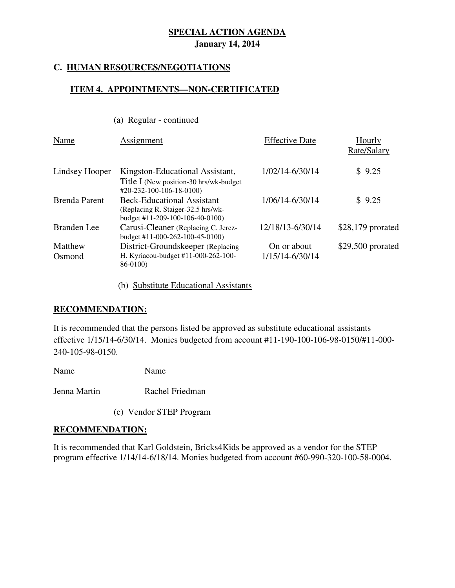# **C. HUMAN RESOURCES/NEGOTIATIONS**

# **ITEM 4. APPOINTMENTS—NON-CERTIFICATED**

(a) Regular - continued

| Name                 | Assignment                                                                                                      | <b>Effective Date</b>          | Hourly<br>Rate/Salary |
|----------------------|-----------------------------------------------------------------------------------------------------------------|--------------------------------|-----------------------|
| Lindsey Hooper       | Kingston-Educational Assistant,<br>Title I (New position-30 hrs/wk-budget)<br>$\text{\#20-232-100-106-18-0100}$ | 1/02/14-6/30/14                | \$9.25                |
| <b>Brenda Parent</b> | <b>Beck-Educational Assistant</b><br>(Replacing R. Staiger-32.5 hrs/wk-<br>budget #11-209-100-106-40-0100)      | 1/06/14-6/30/14                | \$9.25                |
| Branden Lee          | Carusi-Cleaner (Replacing C. Jerez-<br>budget #11-000-262-100-45-0100)                                          | 12/18/13-6/30/14               | $$28,179$ prorated    |
| Matthew<br>Osmond    | District-Groundskeeper (Replacing<br>H. Kyriacou-budget #11-000-262-100-<br>86-0100)                            | On or about<br>1/15/14-6/30/14 | \$29,500 prorated     |

(b) Substitute Educational Assistants

# **RECOMMENDATION:**

 It is recommended that the persons listed be approved as substitute educational assistants effective 1/15/14-6/30/14. Monies budgeted from account #11-190-100-106-98-0150/#11-000- 240-105-98-0150.

Name Name

Jenna Martin Rachel Friedman

(c) Vendor STEP Program

### **RECOMMENDATION:**

 It is recommended that Karl Goldstein, Bricks4Kids be approved as a vendor for the STEP program effective 1/14/14-6/18/14. Monies budgeted from account #60-990-320-100-58-0004.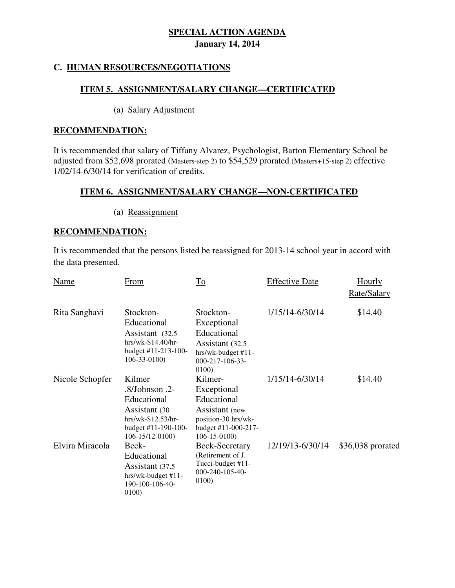# **C. HUMAN RESOURCES/NEGOTIATIONS**

# **ITEM 5. ASSIGNMENT/SALARY CHANGE—CERTIFICATED**

### (a) Salary Adjustment

### **RECOMMENDATION:**

 It is recommended that salary of Tiffany Alvarez, Psychologist, Barton Elementary School be adjusted from \$52,698 prorated (Masters-step 2) to \$54,529 prorated (Masters+15-step 2) effective 1/02/14-6/30/14 for verification of credits.

# **ITEM 6. ASSIGNMENT/SALARY CHANGE—NON-CERTIFICATED**

(a) Reassignment

# **RECOMMENDATION:**

 It is recommended that the persons listed be reassigned for 2013-14 school year in accord with the data presented.

| Name            | <b>From</b>                                                                                                                     | $\overline{\text{To}}$                                                                                                     | <b>Effective Date</b> | <b>Hourly</b><br>Rate/Salary |
|-----------------|---------------------------------------------------------------------------------------------------------------------------------|----------------------------------------------------------------------------------------------------------------------------|-----------------------|------------------------------|
| Rita Sanghavi   | Stockton-<br>Educational<br>Assistant (32.5)<br>$hrs/wk-S14.40/hr-$<br>budget $#11 - 213 - 100 -$<br>$106 - 33 - 0100$          | Stockton-<br>Exceptional<br>Educational<br>Assistant (32.5)<br>$hrs/wk-budget #11-$<br>$000 - 217 - 106 - 33 -$<br>0100)   | 1/15/14-6/30/14       | \$14.40                      |
| Nicole Schopfer | Kilmer<br>$.8/Johnson$ .2-<br>Educational<br>Assistant (30<br>hrs/wk-\$12.53/hr-<br>budget #11-190-100-<br>$106 - 15/12 - 0100$ | Kilmer-<br>Exceptional<br>Educational<br>Assistant (new<br>position-30 hrs/wk-<br>budget #11-000-217-<br>$106 - 15 - 0100$ | 1/15/14-6/30/14       | \$14.40                      |
| Elvira Miracola | Beck-<br>Educational<br>Assistant (37.5)<br>hrs/wk-budget #11-<br>190-100-106-40-<br>0100)                                      | Beck-Secretary<br>(Retirement of J.<br>Tucci-budget #11-<br>000-240-105-40-<br>0100)                                       | 12/19/13-6/30/14      | \$36,038 prorated            |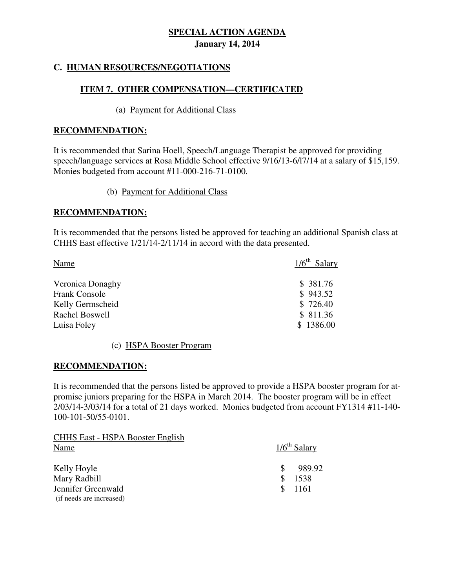# **C. HUMAN RESOURCES/NEGOTIATIONS**

# **ITEM 7. OTHER COMPENSATION—CERTIFICATED**

### (a) Payment for Additional Class

# **RECOMMENDATION:**

 It is recommended that Sarina Hoell, Speech/Language Therapist be approved for providing speech/language services at Rosa Middle School effective 9/16/13-6/l7/14 at a salary of \$15,159. Monies budgeted from account #11-000-216-71-0100.

(b) Payment for Additional Class

# **RECOMMENDATION:**

 It is recommended that the persons listed be approved for teaching an additional Spanish class at CHHS East effective 1/21/14-2/11/14 in accord with the data presented.

| Name                 | $1/6$ <sup>th</sup> Salary |
|----------------------|----------------------------|
| Veronica Donaghy     | \$ 381.76                  |
| <b>Frank Console</b> | \$943.52                   |
| Kelly Germscheid     | \$726.40                   |
| Rachel Boswell       | \$811.36                   |
| Luisa Foley          | \$1386.00                  |

(c) HSPA Booster Program

### **RECOMMENDATION:**

 It is recommended that the persons listed be approved to provide a HSPA booster program for at- promise juniors preparing for the HSPA in March 2014. The booster program will be in effect 2/03/14-3/03/14 for a total of 21 days worked. Monies budgeted from account FY1314 #11-140- 100-101-50/55-0101.

| <b>CHHS East - HSPA Booster English</b> |                            |
|-----------------------------------------|----------------------------|
| Name                                    | $1/6$ <sup>th</sup> Salary |
| Kelly Hoyle                             | 989.92                     |
| Mary Radbill                            | 1538                       |
| Jennifer Greenwald                      | - 1161                     |
| (if needs are increased)                |                            |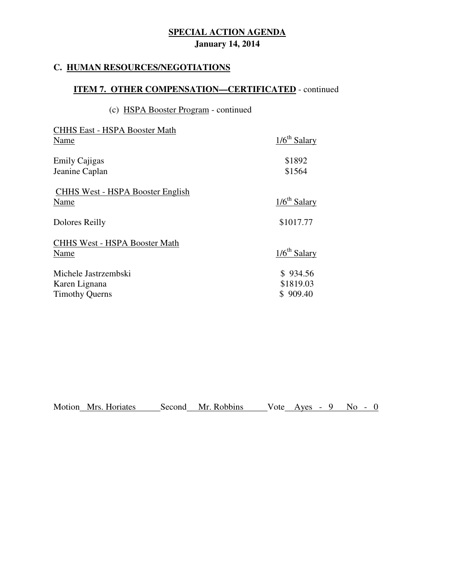# **C. HUMAN RESOURCES/NEGOTIATIONS**

# **ITEM 7. OTHER COMPENSATION—CERTIFICATED** - continued

# (c) HSPA Booster Program - continued

| <b>CHHS East - HSPA Booster Math</b><br>Name                   | $1/6$ <sup>th</sup> Salary        |
|----------------------------------------------------------------|-----------------------------------|
| <b>Emily Cajigas</b><br>Jeanine Caplan                         | \$1892<br>\$1564                  |
| <b>CHHS West - HSPA Booster English</b><br>Name                | $1/6th$ Salary                    |
| Dolores Reilly                                                 | \$1017.77                         |
| <b>CHHS West - HSPA Booster Math</b><br>Name                   | $1/6th$ Salary                    |
| Michele Jastrzembski<br>Karen Lignana<br><b>Timothy Querns</b> | \$934.56<br>\$1819.03<br>\$909.40 |

|  | Motion Mrs. Horiates |  | Second Mr. Robbins |  |  |  |  | Vote Aves - $9$ No - 0 |  |  |
|--|----------------------|--|--------------------|--|--|--|--|------------------------|--|--|
|--|----------------------|--|--------------------|--|--|--|--|------------------------|--|--|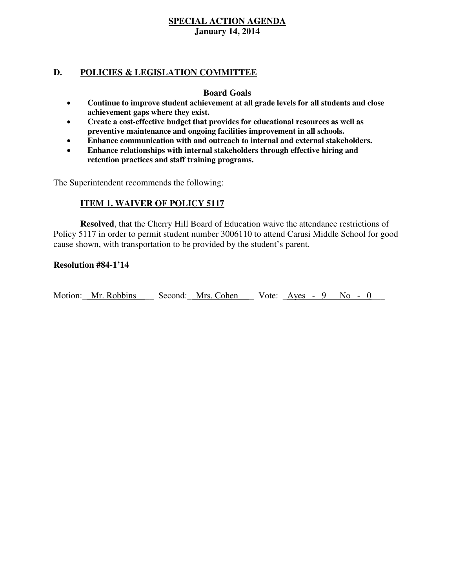### **D. POLICIES & LEGISLATION COMMITTEE**

# **Board Goals**

- **Continue to improve student achievement at all grade levels for all students and close achievement gaps where they exist.**
- **Create a cost-effective budget that provides for educational resources as well as preventive maintenance and ongoing facilities improvement in all schools.**
- **Enhance communication with and outreach to internal and external stakeholders.**
- **Enhance relationships with internal stakeholders through effective hiring and retention practices and staff training programs.**

The Superintendent recommends the following:

# **ITEM 1. WAIVER OF POLICY 5117**

 **Resolved**, that the Cherry Hill Board of Education waive the attendance restrictions of Policy 5117 in order to permit student number 3006110 to attend Carusi Middle School for good cause shown, with transportation to be provided by the student's parent.

# **Resolution #84-1'14**

Motion: Mr. Robbins Second: Mrs. Cohen Vote: Ayes - 9 No - 0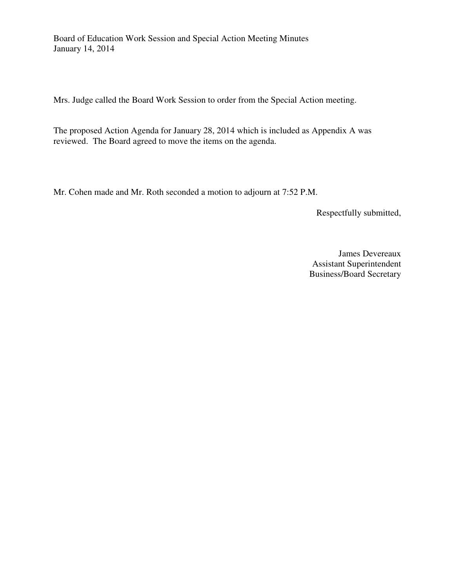Board of Education Work Session and Special Action Meeting Minutes January 14, 2014

Mrs. Judge called the Board Work Session to order from the Special Action meeting.

 The proposed Action Agenda for January 28, 2014 which is included as Appendix A was reviewed. The Board agreed to move the items on the agenda.

Mr. Cohen made and Mr. Roth seconded a motion to adjourn at 7:52 P.M.

Respectfully submitted,

 James Devereaux Business/Board Secretary Assistant Superintendent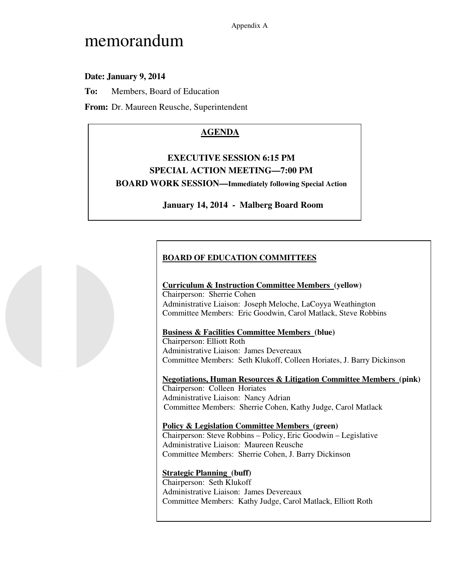Appendix A

# memorandum

# **Date: January 9, 2014**

**To:** Members, Board of Education

**From:** Dr. Maureen Reusche, Superintendent

# **AGENDA**

# **EXECUTIVE SESSION 6:15 PM SPECIAL ACTION MEETING—7:00 PM BOARD WORK SESSION—Immediately following Special Action**

# **January 14, 2014 - Malberg Board Room**

# **BOARD OF EDUCATION COMMITTEES**

### **Curriculum & Instruction Committee Members (yellow)**

 Chairperson: Sherrie Cohen Administrative Liaison: Joseph Meloche, LaCoyya Weathington Committee Members: Eric Goodwin, Carol Matlack, Steve Robbins

### **Business & Facilities Committee Members (blue)**

 Chairperson: Elliott Roth Administrative Liaison: James Devereaux Committee Members: Seth Klukoff, Colleen Horiates, J. Barry Dickinson

 **Negotiations, Human Resources & Litigation Committee Members (pink)**  Chairperson: Colleen Horiates Administrative Liaison: Nancy Adrian Committee Members: Sherrie Cohen, Kathy Judge, Carol Matlack

 **Policy & Legislation Committee Members (green)**  Chairperson: Steve Robbins – Policy, Eric Goodwin – Legislative Administrative Liaison: Maureen Reusche Committee Members: Sherrie Cohen, J. Barry Dickinson

### **Strategic Planning (buff)**

 Chairperson: Seth Klukoff Administrative Liaison: James Devereaux Committee Members: Kathy Judge, Carol Matlack, Elliott Roth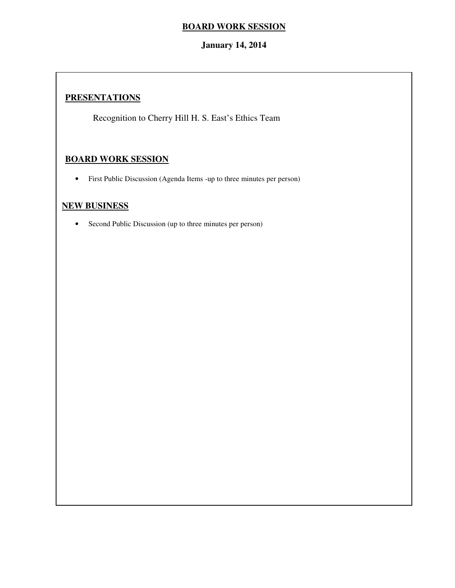# **BOARD WORK SESSION**

# **January 14, 2014**

# **PRESENTATIONS**

Recognition to Cherry Hill H. S. East's Ethics Team

# **BOARD WORK SESSION**

• First Public Discussion (Agenda Items -up to three minutes per person)

### **NEW BUSINESS**

• Second Public Discussion (up to three minutes per person)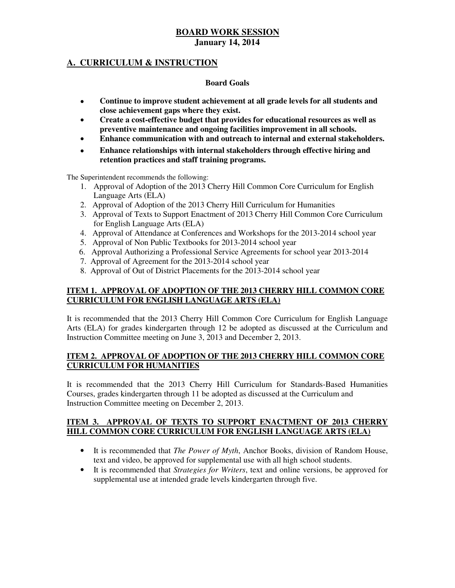# **A. CURRICULUM & INSTRUCTION**

### **Board Goals**

- **Continue to improve student achievement at all grade levels for all students and close achievement gaps where they exist.**
- **Create a cost-effective budget that provides for educational resources as well as preventive maintenance and ongoing facilities improvement in all schools.**
- **Enhance communication with and outreach to internal and external stakeholders.**
- **Enhance relationships with internal stakeholders through effective hiring and retention practices and staff training programs.**

The Superintendent recommends the following:

- 1. Approval of Adoption of the 2013 Cherry Hill Common Core Curriculum for English Language Arts (ELA)
- 2. Approval of Adoption of the 2013 Cherry Hill Curriculum for Humanities
- 3. Approval of Texts to Support Enactment of 2013 Cherry Hill Common Core Curriculum for English Language Arts (ELA)
- 4. Approval of Attendance at Conferences and Workshops for the 2013-2014 school year
- 5. Approval of Non Public Textbooks for 2013-2014 school year
- 6. Approval Authorizing a Professional Service Agreements for school year 2013-2014
- 7. Approval of Agreement for the 2013-2014 school year
- 8. Approval of Out of District Placements for the 2013-2014 school year

### **ITEM 1. APPROVAL OF ADOPTION OF THE 2013 CHERRY HILL COMMON CORE CURRICULUM FOR ENGLISH LANGUAGE ARTS (ELA)**

 It is recommended that the 2013 Cherry Hill Common Core Curriculum for English Language Arts (ELA) for grades kindergarten through 12 be adopted as discussed at the Curriculum and Instruction Committee meeting on June 3, 2013 and December 2, 2013.

### **ITEM 2. APPROVAL OF ADOPTION OF THE 2013 CHERRY HILL COMMON CORE CURRICULUM FOR HUMANITIES**

 It is recommended that the 2013 Cherry Hill Curriculum for Standards-Based Humanities Courses, grades kindergarten through 11 be adopted as discussed at the Curriculum and Instruction Committee meeting on December 2, 2013.

### **ITEM 3. APPROVAL OF TEXTS TO SUPPORT ENACTMENT OF 2013 CHERRY HILL COMMON CORE CURRICULUM FOR ENGLISH LANGUAGE ARTS (ELA)**

- • It is recommended that *The Power of Myth*, Anchor Books, division of Random House, text and video, be approved for supplemental use with all high school students.
- • It is recommended that *Strategies for Writers*, text and online versions, be approved for supplemental use at intended grade levels kindergarten through five.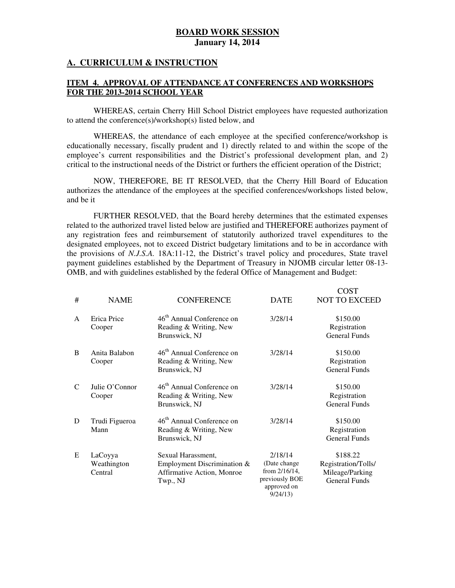### **A. CURRICULUM & INSTRUCTION**

### **ITEM 4. APPROVAL OF ATTENDANCE AT CONFERENCES AND WORKSHOPS FOR THE 2013-2014 SCHOOL YEAR**

 WHEREAS, certain Cherry Hill School District employees have requested authorization to attend the conference(s)/workshop(s) listed below, and

 WHEREAS, the attendance of each employee at the specified conference/workshop is educationally necessary, fiscally prudent and 1) directly related to and within the scope of the employee's current responsibilities and the District's professional development plan, and 2) critical to the instructional needs of the District or furthers the efficient operation of the District;

 NOW, THEREFORE, BE IT RESOLVED, that the Cherry Hill Board of Education authorizes the attendance of the employees at the specified conferences/workshops listed below, and be it

 FURTHER RESOLVED, that the Board hereby determines that the estimated expenses related to the authorized travel listed below are justified and THEREFORE authorizes payment of any registration fees and reimbursement of statutorily authorized travel expenditures to the designated employees, not to exceed District budgetary limitations and to be in accordance with the provisions of *N.J.S.A.* 18A:11-12, the District's travel policy and procedures, State travel payment guidelines established by the Department of Treasury in NJOMB circular letter 08-13- OMB, and with guidelines established by the federal Office of Management and Budget:

| #            | <b>NAME</b>                       | <b>CONFERENCE</b>                                                                           | <b>DATE</b>                                                                           | <b>COST</b><br><b>NOT TO EXCEED</b>                                        |
|--------------|-----------------------------------|---------------------------------------------------------------------------------------------|---------------------------------------------------------------------------------------|----------------------------------------------------------------------------|
| $\mathsf{A}$ | Erica Price<br>Cooper             | 46 <sup>th</sup> Annual Conference on<br>Reading & Writing, New<br>Brunswick, NJ            | 3/28/14                                                                               | \$150.00<br>Registration<br><b>General Funds</b>                           |
| B            | Anita Balabon<br>Cooper           | 46 <sup>th</sup> Annual Conference on<br>Reading & Writing, New<br>Brunswick, NJ            | 3/28/14                                                                               | \$150.00<br>Registration<br><b>General Funds</b>                           |
| $\mathsf{C}$ | Julie O'Connor<br>Cooper          | 46 <sup>th</sup> Annual Conference on<br>Reading & Writing, New<br>Brunswick, NJ            | 3/28/14                                                                               | \$150.00<br>Registration<br><b>General Funds</b>                           |
| D            | Trudi Figueroa<br>Mann            | 46 <sup>th</sup> Annual Conference on<br>Reading & Writing, New<br>Brunswick, NJ            | 3/28/14                                                                               | \$150.00<br>Registration<br><b>General Funds</b>                           |
| E            | LaCoyya<br>Weathington<br>Central | Sexual Harassment,<br>Employment Discrimination &<br>Affirmative Action, Monroe<br>Twp., NJ | 2/18/14<br>(Date change)<br>from 2/16/14,<br>previously BOE<br>approved on<br>9/24/13 | \$188.22<br>Registration/Tolls/<br>Mileage/Parking<br><b>General Funds</b> |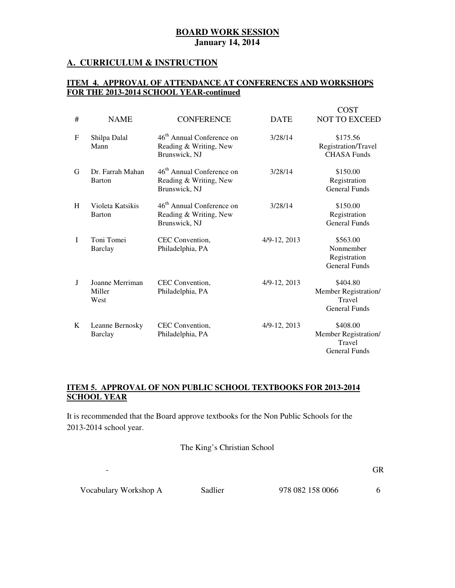### **A. CURRICULUM & INSTRUCTION**

### **ITEM 4. APPROVAL OF ATTENDANCE AT CONFERENCES AND WORKSHOPS FOR THE 2013-2014 SCHOOL YEAR-continued**

| #            | <b>NAME</b>                       | <b>CONFERENCE</b>                                                                | <b>DATE</b>  | <b>COST</b><br><b>NOT TO EXCEED</b>                                |
|--------------|-----------------------------------|----------------------------------------------------------------------------------|--------------|--------------------------------------------------------------------|
| $\mathbf{F}$ | Shilpa Dalal<br>Mann              | 46 <sup>th</sup> Annual Conference on<br>Reading & Writing, New<br>Brunswick, NJ | 3/28/14      | \$175.56<br>Registration/Travel<br><b>CHASA Funds</b>              |
| G            | Dr. Farrah Mahan<br>Barton        | 46 <sup>th</sup> Annual Conference on<br>Reading & Writing, New<br>Brunswick, NJ | 3/28/14      | \$150.00<br>Registration<br><b>General Funds</b>                   |
| H            | Violeta Katsikis<br>Barton        | 46 <sup>th</sup> Annual Conference on<br>Reading & Writing, New<br>Brunswick, NJ | 3/28/14      | \$150.00<br>Registration<br><b>General Funds</b>                   |
| I            | Toni Tomei<br>Barclay             | CEC Convention,<br>Philadelphia, PA                                              | 4/9-12, 2013 | \$563.00<br>Nonmember<br>Registration<br><b>General Funds</b>      |
| J            | Joanne Merriman<br>Miller<br>West | CEC Convention,<br>Philadelphia, PA                                              | 4/9-12, 2013 | \$404.80<br>Member Registration/<br>Travel<br><b>General Funds</b> |
| K            | Leanne Bernosky<br>Barclay        | CEC Convention,<br>Philadelphia, PA                                              | 4/9-12, 2013 | \$408.00<br>Member Registration/<br>Travel<br>General Funds        |

### **ITEM 5. APPROVAL OF NON PUBLIC SCHOOL TEXTBOOKS FOR 2013-2014 SCHOOL YEAR**

 It is recommended that the Board approve textbooks for the Non Public Schools for the 2013-2014 school year.

The King's Christian School

- GR

Vocabulary Workshop A Sadlier 978 082 158 0066 6

 $\Box$ 

Subject Textbook Name Publisher ISBN#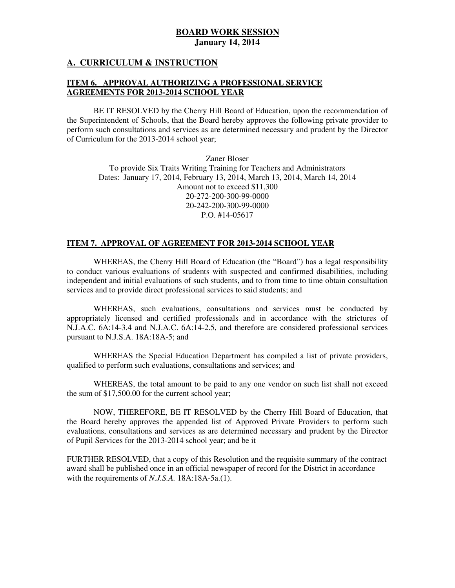### **A. CURRICULUM & INSTRUCTION**

### **ITEM 6. APPROVAL AUTHORIZING A PROFESSIONAL SERVICE AGREEMENTS FOR 2013-2014 SCHOOL YEAR**

 the Superintendent of Schools, that the Board hereby approves the following private provider to perform such consultations and services as are determined necessary and prudent by the Director of Curriculum for the 2013-2014 school year; BE IT RESOLVED by the Cherry Hill Board of Education, upon the recommendation of

 Zaner Bloser To provide Six Traits Writing Training for Teachers and Administrators Dates: January 17, 2014, February 13, 2014, March 13, 2014, March 14, 2014 Amount not to exceed \$11,300 P.O. #14-05617 20-272-200-300-99-0000 20-242-200-300-99-0000

### **ITEM 7. APPROVAL OF AGREEMENT FOR 2013-2014 SCHOOL YEAR**

 WHEREAS, the Cherry Hill Board of Education (the "Board") has a legal responsibility to conduct various evaluations of students with suspected and confirmed disabilities, including independent and initial evaluations of such students, and to from time to time obtain consultation services and to provide direct professional services to said students; and

 WHEREAS, such evaluations, consultations and services must be conducted by appropriately licensed and certified professionals and in accordance with the strictures of N.J.A.C. 6A:14-3.4 and N.J.A.C. 6A:14-2.5, and therefore are considered professional services pursuant to N.J.S.A. 18A:18A-5; and

 WHEREAS the Special Education Department has compiled a list of private providers, qualified to perform such evaluations, consultations and services; and

 WHEREAS, the total amount to be paid to any one vendor on such list shall not exceed the sum of \$17,500.00 for the current school year;

 NOW, THEREFORE, BE IT RESOLVED by the Cherry Hill Board of Education, that the Board hereby approves the appended list of Approved Private Providers to perform such evaluations, consultations and services as are determined necessary and prudent by the Director of Pupil Services for the 2013-2014 school year; and be it

 FURTHER RESOLVED, that a copy of this Resolution and the requisite summary of the contract award shall be published once in an official newspaper of record for the District in accordance with the requirements of *N.J.S.A.* 18A:18A-5a.(1).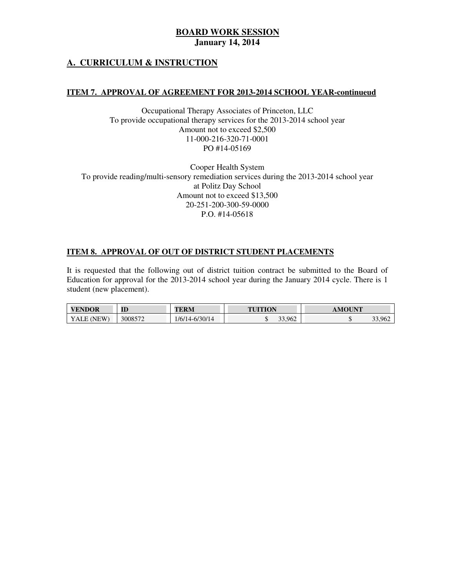### **A. CURRICULUM & INSTRUCTION**

### **ITEM 7. APPROVAL OF AGREEMENT FOR 2013-2014 SCHOOL YEAR-continueud**

 Occupational Therapy Associates of Princeton, LLC To provide occupational therapy services for the 2013-2014 school year Amount not to exceed \$2,500 PO #14-05169 11-000-216-320-71-0001

 Cooper Health System To provide reading/multi-sensory remediation services during the 2013-2014 school year at Politz Day School Amount not to exceed \$13,500 P.O. #14-05618 20-251-200-300-59-0000

### **ITEM 8. APPROVAL OF OUT OF DISTRICT STUDENT PLACEMENTS**

 It is requested that the following out of district tuition contract be submitted to the Board of Education for approval for the 2013-2014 school year during the January 2014 cycle. There is 1 student (new placement).

| <b>VENDOR</b> | ID      | TERM                 | <b>TUITION</b> | $\mathbf{N}$ $\mathbf{N}$<br>- 117 |
|---------------|---------|----------------------|----------------|------------------------------------|
| FW<br>YALE    | 3008572 | '14-6/30/14<br>1/6/7 | 33.962         | 33,962                             |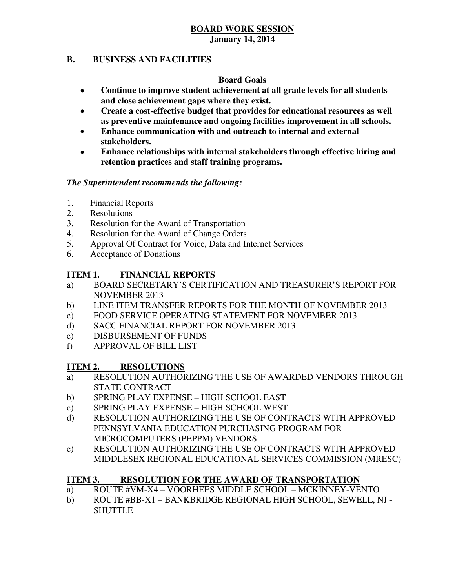# **BOARD WORK SESSION**

### **January 14, 2014**

#### **B. B. BUSINESS AND FACILITIES**

# **Board Goals**

- **Continue to improve student achievement at all grade levels for all students and close achievement gaps where they exist.**
- **Create a cost-effective budget that provides for educational resources as well as preventive maintenance and ongoing facilities improvement in all schools.**
- **Enhance communication with and outreach to internal and external stakeholders.**
- **Enhance relationships with internal stakeholders through effective hiring and retention practices and staff training programs.**

# *The Superintendent recommends the following:*

- 1. Financial Reports
- 2. Resolutions
- 3. Resolution for the Award of Transportation
- 4. Resolution for the Award of Change Orders
- 5. Approval Of Contract for Voice, Data and Internet Services
- 6. Acceptance of Donations

#### **ITEM 1. FINANCIAL REPORTS**

- a) BOARD SECRETARY'S CERTIFICATION AND TREASURER'S REPORT FOR NOVEMBER 2013
- $b)$ b) LINE ITEM TRANSFER REPORTS FOR THE MONTH OF NOVEMBER 2013
- $\mathbf{c}$ ) FOOD SERVICE OPERATING STATEMENT FOR NOVEMBER 2013
- $\mathbf{d}$ SACC FINANCIAL REPORT FOR NOVEMBER 2013
- e) DISBURSEMENT OF FUNDS
- f) APPROVAL OF BILL LIST

#### **ITEM 2. RESOLUTIONS**

- a) RESOLUTION AUTHORIZING THE USE OF AWARDED VENDORS THROUGH STATE CONTRACT
- b) SPRING PLAY EXPENSE HIGH SCHOOL EAST
- c) SPRING PLAY EXPENSE HIGH SCHOOL WEST
- d) RESOLUTION AUTHORIZING THE USE OF CONTRACTS WITH APPROVED PENNSYLVANIA EDUCATION PURCHASING PROGRAM FOR MICROCOMPUTERS (PEPPM) VENDORS
- e) RESOLUTION AUTHORIZING THE USE OF CONTRACTS WITH APPROVED MIDDLESEX REGIONAL EDUCATIONAL SERVICES COMMISSION (MRESC)

#### **ITEM 3. RESOLUTION FOR THE AWARD OF TRANSPORTATION**

- a) ROUTE #VM-X4 VOORHEES MIDDLE SCHOOL MCKINNEY-VENTO
- b) ROUTE #BB-X1 BANKBRIDGE REGIONAL HIGH SCHOOL, SEWELL, NJ SHUTTLE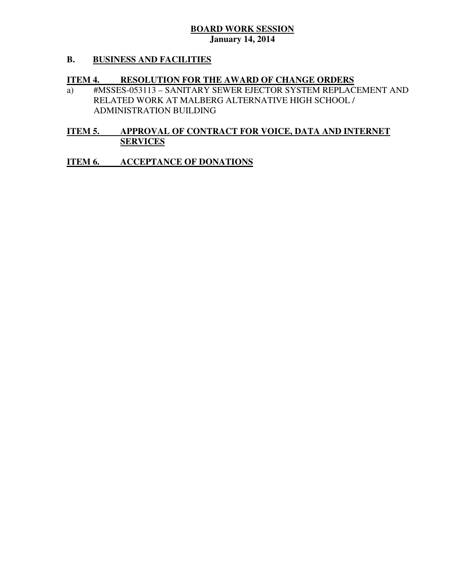#### **B. B. BUSINESS AND FACILITIES**

#### **ITEM 4. RESOLUTION FOR THE AWARD OF CHANGE ORDERS**

 a) #MSSES-053113 – SANITARY SEWER EJECTOR SYSTEM REPLACEMENT AND RELATED WORK AT MALBERG ALTERNATIVE HIGH SCHOOL / ADMINISTRATION BUILDING

#### **ITEM 5. APPROVAL OF CONTRACT FOR VOICE, DATA AND INTERNET SERVICES**

#### **ITEM 6. INCCEPTANCE OF DONATIONS**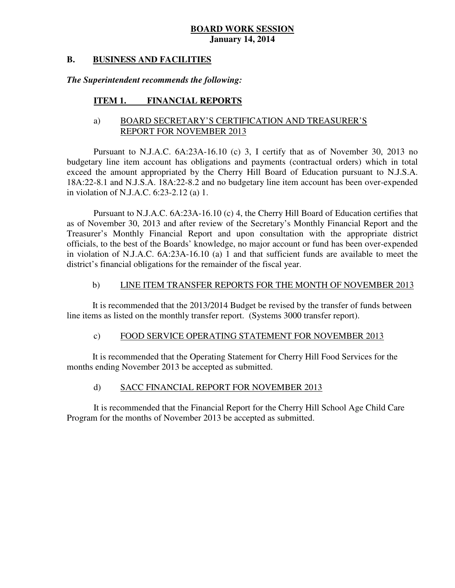#### **B. B. BUSINESS AND FACILITIES**

# *The Superintendent recommends the following:*

#### **ITEM 1. FINANCIAL REPORTS**

# a) BOARD SECRETARY'S CERTIFICATION AND TREASURER'S REPORT FOR NOVEMBER 2013

 Pursuant to N.J.A.C. 6A:23A-16.10 (c) 3, I certify that as of November 30, 2013 no budgetary line item account has obligations and payments (contractual orders) which in total exceed the amount appropriated by the Cherry Hill Board of Education pursuant to N.J.S.A. 18A:22-8.1 and N.J.S.A. 18A:22-8.2 and no budgetary line item account has been over-expended in violation of N.J.A.C. 6:23-2.12 (a) 1.

 Pursuant to N.J.A.C. 6A:23A-16.10 (c) 4, the Cherry Hill Board of Education certifies that as of November 30, 2013 and after review of the Secretary's Monthly Financial Report and the Treasurer's Monthly Financial Report and upon consultation with the appropriate district officials, to the best of the Boards' knowledge, no major account or fund has been over-expended in violation of N.J.A.C. 6A:23A-16.10 (a) 1 and that sufficient funds are available to meet the district's financial obligations for the remainder of the fiscal year.

#### $b)$ LINE ITEM TRANSFER REPORTS FOR THE MONTH OF NOVEMBER 2013

 It is recommended that the 2013/2014 Budget be revised by the transfer of funds between line items as listed on the monthly transfer report. (Systems 3000 transfer report).

#### $c)$ FOOD SERVICE OPERATING STATEMENT FOR NOVEMBER 2013

 It is recommended that the Operating Statement for Cherry Hill Food Services for the months ending November 2013 be accepted as submitted.

#### $\mathbf{d}$ SACC FINANCIAL REPORT FOR NOVEMBER 2013

 It is recommended that the Financial Report for the Cherry Hill School Age Child Care Program for the months of November 2013 be accepted as submitted.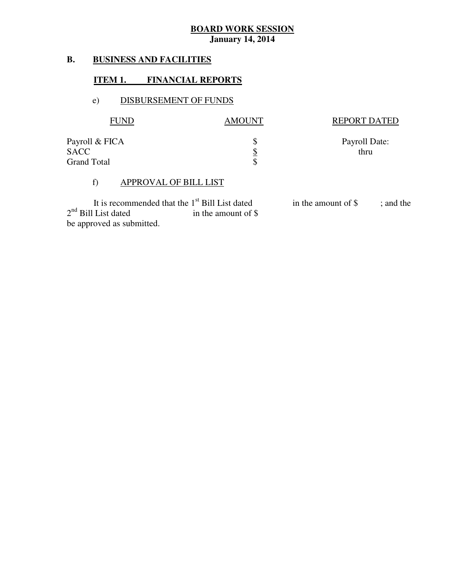#### **B. B. BUSINESS AND FACILITIES**

### **ITEM 1. FINANCIAL REPORTS**

### e) DISBURSEMENT OF FUNDS

| <b>FUND</b>                                         | AMOUNT          | <b>REPORT DATED</b>   |
|-----------------------------------------------------|-----------------|-----------------------|
| Payroll & FICA<br><b>SACC</b><br><b>Grand Total</b> | <u>\$</u><br>\$ | Payroll Date:<br>thru |

### f) APPROVAL OF BILL LIST

 $2<sup>nd</sup>$  Bill List dated in the amount of \$ be approved as submitted. It is recommended that the  $1<sup>st</sup>$  Bill List dated<br>I List dated in the amount of \$

in the amount of \$ ; and the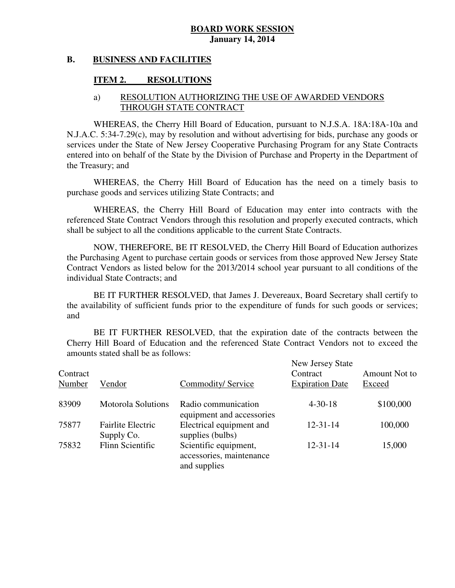#### **B. B. BUSINESS AND FACILITIES**

#### **ITEM 2. RESOLUTIONS**

### a) RESOLUTION AUTHORIZING THE USE OF AWARDED VENDORS THROUGH STATE CONTRACT

 WHEREAS, the Cherry Hill Board of Education, pursuant to N.J.S.A. 18A:18A-10a and N.J.A.C. 5:34-7.29(c), may by resolution and without advertising for bids, purchase any goods or services under the State of New Jersey Cooperative Purchasing Program for any State Contracts entered into on behalf of the State by the Division of Purchase and Property in the Department of the Treasury; and

 WHEREAS, the Cherry Hill Board of Education has the need on a timely basis to purchase goods and services utilizing State Contracts; and

 WHEREAS, the Cherry Hill Board of Education may enter into contracts with the referenced State Contract Vendors through this resolution and properly executed contracts, which shall be subject to all the conditions applicable to the current State Contracts.

 NOW, THEREFORE, BE IT RESOLVED, the Cherry Hill Board of Education authorizes the Purchasing Agent to purchase certain goods or services from those approved New Jersey State Contract Vendors as listed below for the 2013/2014 school year pursuant to all conditions of the individual State Contracts; and

 the availability of sufficient funds prior to the expenditure of funds for such goods or services; and BE IT FURTHER RESOLVED, that James J. Devereaux, Board Secretary shall certify to

 Cherry Hill Board of Education and the referenced State Contract Vendors not to exceed the amounts stated shall be as follows: BE IT FURTHER RESOLVED, that the expiration date of the contracts between the

| Contract<br>Number | Vendor                                 | Commodity/Service                                                 | New Jersey State<br>Contract<br><b>Expiration Date</b> | Amount Not to<br>Exceed |
|--------------------|----------------------------------------|-------------------------------------------------------------------|--------------------------------------------------------|-------------------------|
| 83909              | <b>Motorola Solutions</b>              | Radio communication<br>equipment and accessories                  | $4 - 30 - 18$                                          | \$100,000               |
| 75877              | <b>Fairlite Electric</b><br>Supply Co. | Electrical equipment and<br>supplies (bulbs)                      | $12 - 31 - 14$                                         | 100,000                 |
| 75832              | Flinn Scientific                       | Scientific equipment,<br>accessories, maintenance<br>and supplies | $12 - 31 - 14$                                         | 15,000                  |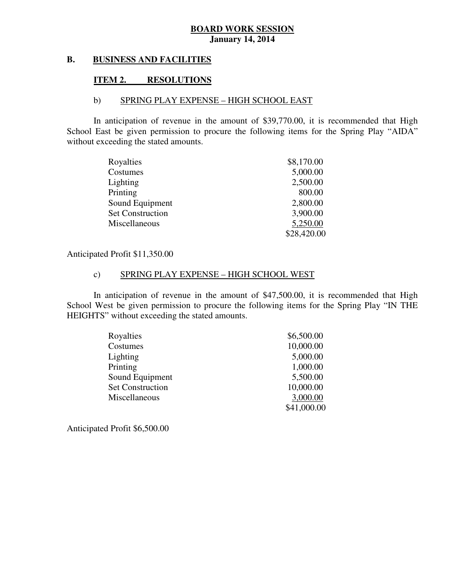#### **B. B. BUSINESS AND FACILITIES**

#### **ITEM 2. RESOLUTIONS**

### b) SPRING PLAY EXPENSE – HIGH SCHOOL EAST

 In anticipation of revenue in the amount of \$39,770.00, it is recommended that High School East be given permission to procure the following items for the Spring Play "AIDA" without exceeding the stated amounts.

| Royalties               | \$8,170.00  |
|-------------------------|-------------|
| Costumes                | 5,000.00    |
| Lighting                | 2,500.00    |
| Printing                | 800.00      |
| Sound Equipment         | 2,800.00    |
| <b>Set Construction</b> | 3,900.00    |
| Miscellaneous           | 5,250.00    |
|                         | \$28,420.00 |

### Anticipated Profit \$11,350.00

### c) SPRING PLAY EXPENSE – HIGH SCHOOL WEST

 In anticipation of revenue in the amount of \$47,500.00, it is recommended that High School West be given permission to procure the following items for the Spring Play "IN THE HEIGHTS" without exceeding the stated amounts.

| Royalties               | \$6,500.00  |
|-------------------------|-------------|
| Costumes                | 10,000.00   |
| Lighting                | 5,000.00    |
| Printing                | 1,000.00    |
| Sound Equipment         | 5,500.00    |
| <b>Set Construction</b> | 10,000.00   |
| Miscellaneous           | 3,000.00    |
|                         | \$41,000.00 |

Anticipated Profit \$6,500.00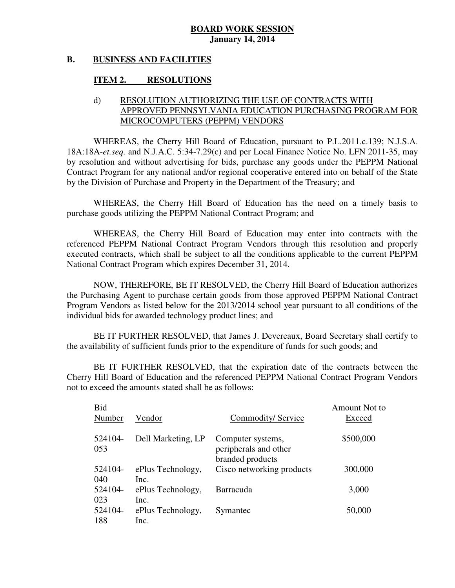#### **B. B. BUSINESS AND FACILITIES**

#### **ITEM 2. RESOLUTIONS**

### d) RESOLUTION AUTHORIZING THE USE OF CONTRACTS WITH APPROVED PENNSYLVANIA EDUCATION PURCHASING PROGRAM FOR MICROCOMPUTERS (PEPPM) VENDORS

 WHEREAS, the Cherry Hill Board of Education, pursuant to P.L.2011.c.139; N.J.S.A. 18A:18A-*et.seq.* and N.J.A.C. 5:34-7.29(c) and per Local Finance Notice No. LFN 2011-35, may by resolution and without advertising for bids, purchase any goods under the PEPPM National Contract Program for any national and/or regional cooperative entered into on behalf of the State by the Division of Purchase and Property in the Department of the Treasury; and

 WHEREAS, the Cherry Hill Board of Education has the need on a timely basis to purchase goods utilizing the PEPPM National Contract Program; and

 WHEREAS, the Cherry Hill Board of Education may enter into contracts with the referenced PEPPM National Contract Program Vendors through this resolution and properly executed contracts, which shall be subject to all the conditions applicable to the current PEPPM National Contract Program which expires December 31, 2014.

 NOW, THEREFORE, BE IT RESOLVED, the Cherry Hill Board of Education authorizes the Purchasing Agent to purchase certain goods from those approved PEPPM National Contract Program Vendors as listed below for the 2013/2014 school year pursuant to all conditions of the individual bids for awarded technology product lines; and

 the availability of sufficient funds prior to the expenditure of funds for such goods; and BE IT FURTHER RESOLVED, that James J. Devereaux, Board Secretary shall certify to

 Cherry Hill Board of Education and the referenced PEPPM National Contract Program Vendors not to exceed the amounts stated shall be as follows: BE IT FURTHER RESOLVED, that the expiration date of the contracts between the

| Bid            |                           |                                                                | Amount Not to |
|----------------|---------------------------|----------------------------------------------------------------|---------------|
| Number         | Vendor                    | Commodity/Service                                              | Exceed        |
| 524104-<br>053 | Dell Marketing, LP        | Computer systems,<br>peripherals and other<br>branded products | \$500,000     |
| 524104-<br>040 | ePlus Technology,<br>Inc. | Cisco networking products                                      | 300,000       |
| 524104-<br>023 | ePlus Technology,<br>Inc. | <b>Barracuda</b>                                               | 3,000         |
| 524104-<br>188 | ePlus Technology,<br>Inc. | Symantec                                                       | 50,000        |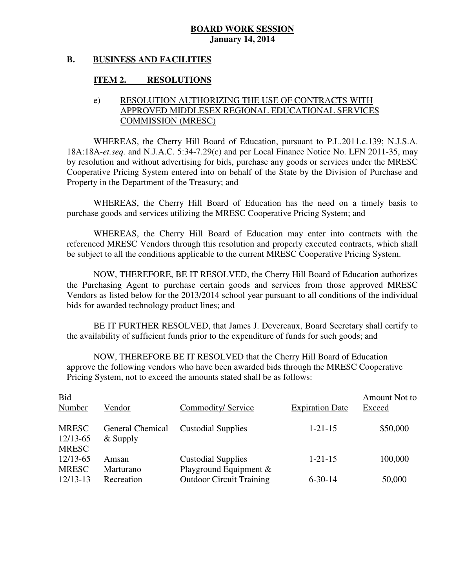#### **B. B. BUSINESS AND FACILITIES**

#### **ITEM 2. RESOLUTIONS**

### e) RESOLUTION AUTHORIZING THE USE OF CONTRACTS WITH APPROVED MIDDLESEX REGIONAL EDUCATIONAL SERVICES COMMISSION (MRESC)

 WHEREAS, the Cherry Hill Board of Education, pursuant to P.L.2011.c.139; N.J.S.A. 18A:18A-*et.seq.* and N.J.A.C. 5:34-7.29(c) and per Local Finance Notice No. LFN 2011-35, may by resolution and without advertising for bids, purchase any goods or services under the MRESC Cooperative Pricing System entered into on behalf of the State by the Division of Purchase and Property in the Department of the Treasury; and

 WHEREAS, the Cherry Hill Board of Education has the need on a timely basis to purchase goods and services utilizing the MRESC Cooperative Pricing System; and

 WHEREAS, the Cherry Hill Board of Education may enter into contracts with the referenced MRESC Vendors through this resolution and properly executed contracts, which shall be subject to all the conditions applicable to the current MRESC Cooperative Pricing System.

 NOW, THEREFORE, BE IT RESOLVED, the Cherry Hill Board of Education authorizes the Purchasing Agent to purchase certain goods and services from those approved MRESC Vendors as listed below for the 2013/2014 school year pursuant to all conditions of the individual bids for awarded technology product lines; and

 the availability of sufficient funds prior to the expenditure of funds for such goods; and BE IT FURTHER RESOLVED, that James J. Devereaux, Board Secretary shall certify to

 NOW, THEREFORE BE IT RESOLVED that the Cherry Hill Board of Education approve the following vendors who have been awarded bids through the MRESC Cooperative Pricing System, not to exceed the amounts stated shall be as follows:

| <b>Bid</b><br>Number                     | Vendor                                | Commodity/Service               | <b>Expiration Date</b> | Amount Not to<br>Exceed |
|------------------------------------------|---------------------------------------|---------------------------------|------------------------|-------------------------|
| <b>MRESC</b><br>12/13-65<br><b>MRESC</b> | <b>General Chemical</b><br>$&$ Supply | <b>Custodial Supplies</b>       | $1 - 21 - 15$          | \$50,000                |
| 12/13-65                                 | Amsan                                 | <b>Custodial Supplies</b>       | $1 - 21 - 15$          | 100,000                 |
| <b>MRESC</b>                             | Marturano                             | Playground Equipment $\&$       |                        |                         |
| $12/13-13$                               | Recreation                            | <b>Outdoor Circuit Training</b> | $6 - 30 - 14$          | 50,000                  |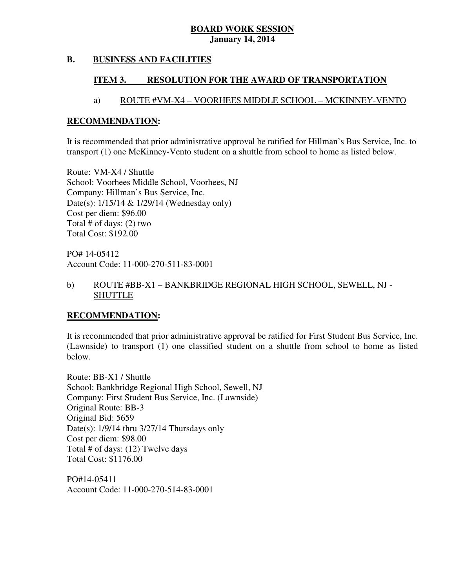#### **B. B. BUSINESS AND FACILITIES**

#### **ITEM 3. RESOLUTION FOR THE AWARD OF TRANSPORTATION**

# a) ROUTE #VM-X4 – VOORHEES MIDDLE SCHOOL – MCKINNEY-VENTO

### **RECOMMENDATION:**

 It is recommended that prior administrative approval be ratified for Hillman's Bus Service, Inc. to transport (1) one McKinney-Vento student on a shuttle from school to home as listed below.

 Route: VM-X4 / Shuttle School: Voorhees Middle School, Voorhees, NJ Company: Hillman's Bus Service, Inc. Date(s): 1/15/14 & 1/29/14 (Wednesday only) Cost per diem: \$96.00 Total # of days: (2) two Total Cost: \$192.00

 PO# 14-05412 Account Code: 11-000-270-511-83-0001

### b) ROUTE #BB-X1 – BANKBRIDGE REGIONAL HIGH SCHOOL, SEWELL, NJ - SHUTTLE

# **RECOMMENDATION:**

 It is recommended that prior administrative approval be ratified for First Student Bus Service, Inc. (Lawnside) to transport (1) one classified student on a shuttle from school to home as listed below.

 Route: BB-X1 / Shuttle School: Bankbridge Regional High School, Sewell, NJ Company: First Student Bus Service, Inc. (Lawnside) Original Route: BB-3 Original Bid: 5659 Date(s): 1/9/14 thru 3/27/14 Thursdays only Cost per diem: \$98.00 Total # of days: (12) Twelve days Total Cost: \$1176.00

 Account Code: 11-000-270-514-83-0001 PO#14-05411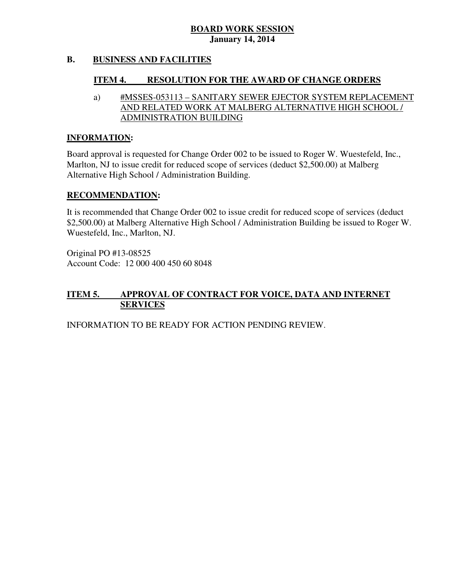#### **B. B. BUSINESS AND FACILITIES**

#### **ITEM 4. RESOLUTION FOR THE AWARD OF CHANGE ORDERS**

# a) #MSSES-053113 – SANITARY SEWER EJECTOR SYSTEM REPLACEMENT AND RELATED WORK AT MALBERG ALTERNATIVE HIGH SCHOOL / ADMINISTRATION BUILDING

### **INFORMATION:**

 Board approval is requested for Change Order 002 to be issued to Roger W. Wuestefeld, Inc., Marlton, NJ to issue credit for reduced scope of services (deduct \$2,500.00) at Malberg Alternative High School / Administration Building.

### **RECOMMENDATION:**

 It is recommended that Change Order 002 to issue credit for reduced scope of services (deduct \$2,500.00) at Malberg Alternative High School / Administration Building be issued to Roger W. Wuestefeld, Inc., Marlton, NJ.

 Original PO #13-08525 Account Code: 12 000 400 450 60 8048

#### **ITEM 5. APPROVAL OF CONTRACT FOR VOICE, DATA AND INTERNET SERVICES**

INFORMATION TO BE READY FOR ACTION PENDING REVIEW.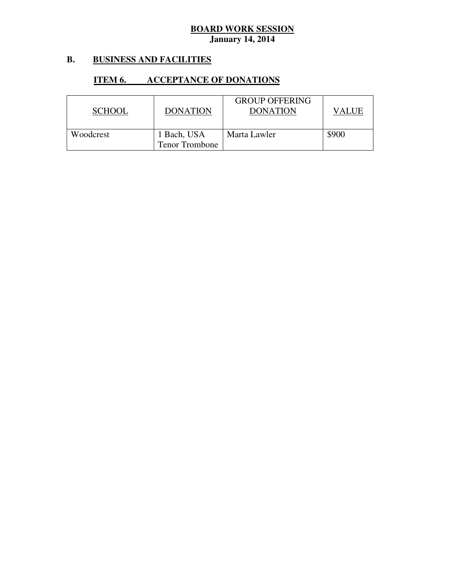#### **B. B. BUSINESS AND FACILITIES**

#### **ITEM 6. INCCEPTANCE OF DONATIONS**

| <b>SCHOOL</b> | <b>DONATION</b>                      | <b>GROUP OFFERING</b><br><b>DONATION</b> | VALUE |
|---------------|--------------------------------------|------------------------------------------|-------|
| Woodcrest     | 1 Bach, USA<br><b>Tenor Trombone</b> | Marta Lawler                             | \$900 |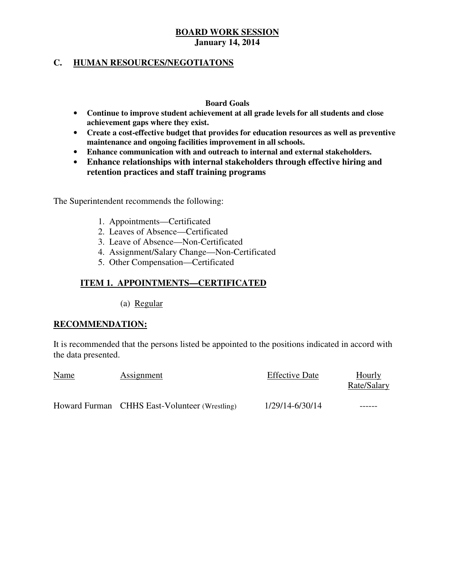# **C. HUMAN RESOURCES/NEGOTIATONS**

### **Board Goals**

- **Continue to improve student achievement at all grade levels for all students and close achievement gaps where they exist.**
- **Create a cost-effective budget that provides for education resources as well as preventive maintenance and ongoing facilities improvement in all schools.**
- **Enhance communication with and outreach to internal and external stakeholders.**
- **Enhance relationships with internal stakeholders through effective hiring and retention practices and staff training programs**

The Superintendent recommends the following:

- 1. Appointments—Certificated
- 2. Leaves of Absence—Certificated
- 3. Leave of Absence—Non-Certificated
- 4. Assignment/Salary Change—Non-Certificated
- 5. Other Compensation—Certificated

# **ITEM 1. APPOINTMENTS—CERTIFICATED**

(a) Regular

### **RECOMMENDATION:**

 It is recommended that the persons listed be appointed to the positions indicated in accord with the data presented.

| <b>Name</b> | <b>Assignment</b>                             | <b>Effective Date</b> | Hourly<br>Rate/Salary |
|-------------|-----------------------------------------------|-----------------------|-----------------------|
|             | Howard Furman CHHS East-Volunteer (Wrestling) | 1/29/14-6/30/14       | ------                |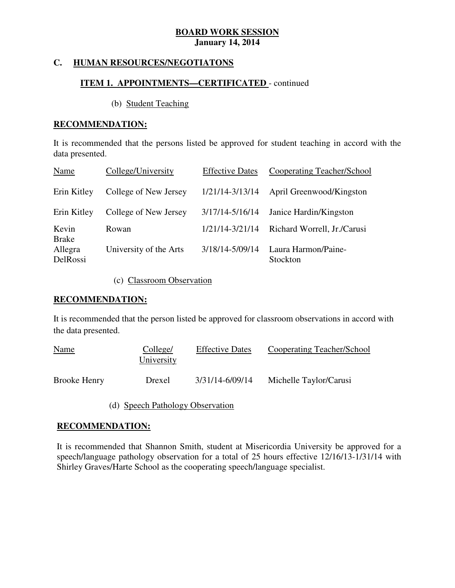#### **HUMAN RESOURCES/NEGOTIATONS**

# **ITEM 1. APPOINTMENTS—CERTIFICATED** - continued

(b) Student Teaching

### **RECOMMENDATION:**

 It is recommended that the persons listed be approved for student teaching in accord with the data presented.

| Name                  | College/University     | <b>Effective Dates</b> | Cooperating Teacher/School      |
|-----------------------|------------------------|------------------------|---------------------------------|
| Erin Kitley           | College of New Jersey  | 1/21/14-3/13/14        | April Greenwood/Kingston        |
| Erin Kitley           | College of New Jersey  | 3/17/14-5/16/14        | Janice Hardin/Kingston          |
| Kevin<br><b>Brake</b> | Rowan                  | 1/21/14-3/21/14        | Richard Worrell, Jr./Carusi     |
| Allegra<br>DelRossi   | University of the Arts | 3/18/14-5/09/14        | Laura Harmon/Paine-<br>Stockton |

(c) Classroom Observation

### **RECOMMENDATION:**

 It is recommended that the person listed be approved for classroom observations in accord with the data presented.

| <b>Name</b>         | College/<br>University | <b>Effective Dates</b> | Cooperating Teacher/School |
|---------------------|------------------------|------------------------|----------------------------|
| <b>Brooke Henry</b> | Drexel                 | 3/31/14-6/09/14        | Michelle Taylor/Carusi     |

(d) Speech Pathology Observation

### **RECOMMENDATION:**

 It is recommended that Shannon Smith, student at Misericordia University be approved for a speech/language pathology observation for a total of 25 hours effective 12/16/13-1/31/14 with Shirley Graves/Harte School as the cooperating speech/language specialist.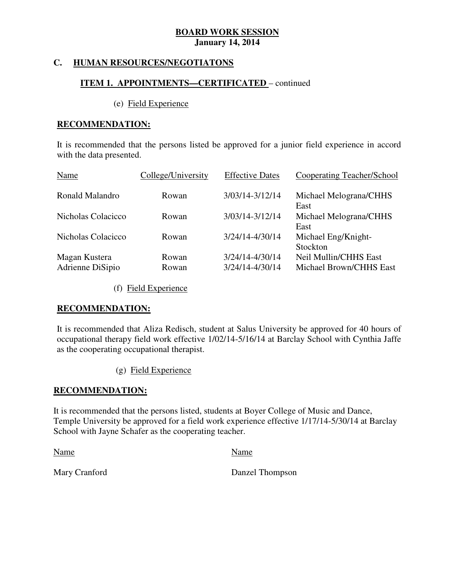#### **HUMAN RESOURCES/NEGOTIATONS**

# **ITEM 1. APPOINTMENTS—CERTIFICATED** – continued

### (e) Field Experience

### **RECOMMENDATION:**

 It is recommended that the persons listed be approved for a junior field experience in accord with the data presented.

| Name                              | College/University | <b>Effective Dates</b>             | Cooperating Teacher/School                       |
|-----------------------------------|--------------------|------------------------------------|--------------------------------------------------|
| Ronald Malandro                   | Rowan              | 3/03/14-3/12/14                    | Michael Melograna/CHHS<br>East                   |
| Nicholas Colacicco                | Rowan              | 3/03/14-3/12/14                    | Michael Melograna/CHHS<br>East                   |
| Nicholas Colacicco                | Rowan              | 3/24/14-4/30/14                    | Michael Eng/Knight-<br>Stockton                  |
| Magan Kustera<br>Adrienne DiSipio | Rowan<br>Rowan     | 3/24/14-4/30/14<br>3/24/14-4/30/14 | Neil Mullin/CHHS East<br>Michael Brown/CHHS East |

(f) Field Experience

### **RECOMMENDATION:**

 It is recommended that Aliza Redisch, student at Salus University be approved for 40 hours of occupational therapy field work effective 1/02/14-5/16/14 at Barclay School with Cynthia Jaffe as the cooperating occupational therapist.

(g) Field Experience

### **RECOMMENDATION:**

 It is recommended that the persons listed, students at Boyer College of Music and Dance, Temple University be approved for a field work experience effective 1/17/14-5/30/14 at Barclay School with Jayne Schafer as the cooperating teacher.

Name Name Name

Mary Cranford

Danzel Thompson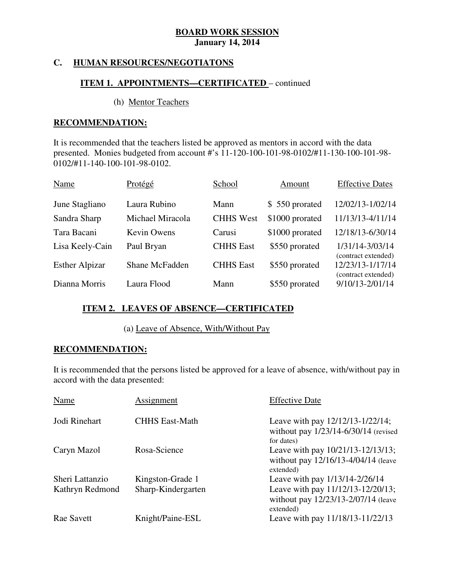#### **HUMAN RESOURCES/NEGOTIATONS**

# **ITEM 1. APPOINTMENTS—CERTIFICATED** – continued

### (h) Mentor Teachers

### **RECOMMENDATION:**

 It is recommended that the teachers listed be approved as mentors in accord with the data presented. Monies budgeted from account #'s 11-120-100-101-98-0102/#11-130-100-101-98- 0102/#11-140-100-101-98-0102.

| Name                  | Protégé            | School           | Amount          | <b>Effective Dates</b>                  |
|-----------------------|--------------------|------------------|-----------------|-----------------------------------------|
| June Stagliano        | Laura Rubino       | Mann             | \$550 prorated  | 12/02/13-1/02/14                        |
| Sandra Sharp          | Michael Miracola   | <b>CHHS West</b> | \$1000 prorated | 11/13/13-4/11/14                        |
| Tara Bacani           | <b>Kevin Owens</b> | Carusi           | \$1000 prorated | 12/18/13-6/30/14                        |
| Lisa Keely-Cain       | Paul Bryan         | <b>CHHS</b> East | \$550 prorated  | 1/31/14-3/03/14<br>(contract extended)  |
| <b>Esther Alpizar</b> | Shane McFadden     | <b>CHHS</b> East | \$550 prorated  | 12/23/13-1/17/14<br>(contract extended) |
| Dianna Morris         | Laura Flood        | Mann             | \$550 prorated  | 9/10/13-2/01/14                         |

# **ITEM 2. LEAVES OF ABSENCE—CERTIFICATED**

### (a) Leave of Absence, With/Without Pay

### **RECOMMENDATION:**

 It is recommended that the persons listed be approved for a leave of absence, with/without pay in accord with the data presented:

| Name              | Assignment            | <b>Effective Date</b>                                                                      |
|-------------------|-----------------------|--------------------------------------------------------------------------------------------|
| Jodi Rinehart     | <b>CHHS East-Math</b> | Leave with pay 12/12/13-1/22/14;<br>without pay $1/23/14 - 6/30/14$ (revised<br>for dates) |
| Caryn Mazol       | Rosa-Science          | Leave with pay 10/21/13-12/13/13;<br>without pay 12/16/13-4/04/14 (leave<br>extended)      |
| Sheri Lattanzio   | Kingston-Grade 1      | Leave with pay 1/13/14-2/26/14                                                             |
| Kathryn Redmond   | Sharp-Kindergarten    | Leave with pay 11/12/13-12/20/13;<br>without pay 12/23/13-2/07/14 (leave<br>extended)      |
| <b>Rae Savett</b> | Knight/Paine-ESL      | Leave with pay 11/18/13-11/22/13                                                           |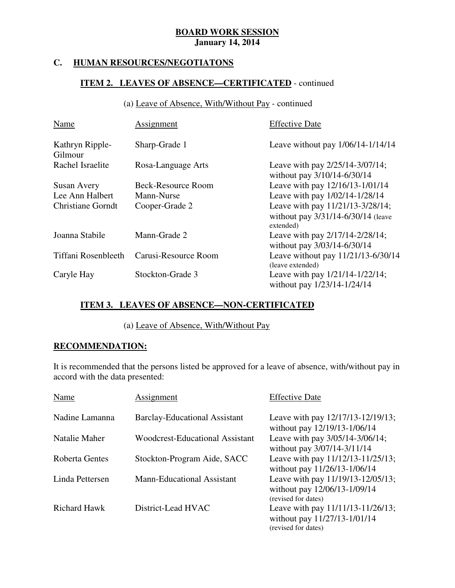#### **HUMAN RESOURCES/NEGOTIATONS**

# **ITEM 2. LEAVES OF ABSENCE—CERTIFICATED** - continued

(a) Leave of Absence, With/Without Pay - continued

| Name                       | Assignment           | <b>Effective Date</b>                                                               |
|----------------------------|----------------------|-------------------------------------------------------------------------------------|
| Kathryn Ripple-<br>Gilmour | Sharp-Grade 1        | Leave without pay $1/06/14-1/14/14$                                                 |
| Rachel Israelite           | Rosa-Language Arts   | Leave with pay 2/25/14-3/07/14;<br>without pay 3/10/14-6/30/14                      |
| Susan Avery                | Beck-Resource Room   | Leave with pay 12/16/13-1/01/14                                                     |
| Lee Ann Halbert            | Mann-Nurse           | Leave with pay 1/02/14-1/28/14                                                      |
| <b>Christiane Gorndt</b>   | Cooper-Grade 2       | Leave with pay 11/21/13-3/28/14;<br>without pay 3/31/14-6/30/14 (leave<br>extended) |
| Joanna Stabile             | Mann-Grade 2         | Leave with pay 2/17/14-2/28/14;<br>without pay 3/03/14-6/30/14                      |
| Tiffani Rosenbleeth        | Carusi-Resource Room | Leave without pay 11/21/13-6/30/14<br>(leave extended)                              |
| Caryle Hay                 | Stockton-Grade 3     | Leave with pay $1/21/14 - 1/22/14$ ;<br>without pay 1/23/14-1/24/14                 |

# **ITEM 3. LEAVES OF ABSENCE—NON-CERTIFICATED**

(a) Leave of Absence, With/Without Pay

# **RECOMMENDATION:**

 It is recommended that the persons listed be approved for a leave of absence, with/without pay in accord with the data presented:

| Name                | Assignment                             | <b>Effective Date</b>                                                                    |
|---------------------|----------------------------------------|------------------------------------------------------------------------------------------|
| Nadine Lamanna      | <b>Barclay-Educational Assistant</b>   | Leave with pay 12/17/13-12/19/13;<br>without pay 12/19/13-1/06/14                        |
| Natalie Maher       | <b>Woodcrest-Educational Assistant</b> | Leave with pay 3/05/14-3/06/14;<br>without pay 3/07/14-3/11/14                           |
| Roberta Gentes      | Stockton-Program Aide, SACC            | Leave with pay 11/12/13-11/25/13;<br>without pay 11/26/13-1/06/14                        |
| Linda Pettersen     | <b>Mann-Educational Assistant</b>      | Leave with pay 11/19/13-12/05/13;<br>without pay 12/06/13-1/09/14<br>(revised for dates) |
| <b>Richard Hawk</b> | District-Lead HVAC                     | Leave with pay 11/11/13-11/26/13;<br>without pay 11/27/13-1/01/14<br>(revised for dates) |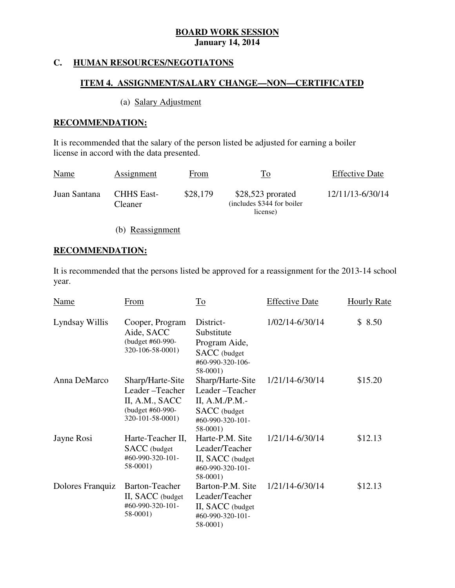#### **HUMAN RESOURCES/NEGOTIATONS**

### **ITEM 4. ASSIGNMENT/SALARY CHANGE—NON—CERTIFICATED**

# (a) Salary Adjustment

### **RECOMMENDATION:**

 It is recommended that the salary of the person listed be adjusted for earning a boiler license in accord with the data presented.

| <b>Name</b>  | Assignment                          | From     | To                                                            | <b>Effective Date</b> |
|--------------|-------------------------------------|----------|---------------------------------------------------------------|-----------------------|
| Juan Santana | <b>CHHS East-</b><br><b>Cleaner</b> | \$28,179 | $$28,523$ prorated<br>(includes \$344 for boiler)<br>license) | 12/11/13-6/30/14      |

(b) Reassignment

# **RECOMMENDATION:**

 It is recommended that the persons listed be approved for a reassignment for the 2013-14 school year.

| <b>Name</b>      | From                                                                                         | $\overline{\text{To}}$                                                                                       | <b>Effective Date</b> | <b>Hourly Rate</b> |
|------------------|----------------------------------------------------------------------------------------------|--------------------------------------------------------------------------------------------------------------|-----------------------|--------------------|
| Lyndsay Willis   | Cooper, Program<br>Aide, SACC<br>(budget #60-990-<br>320-106-58-0001)                        | District-<br>Substitute<br>Program Aide,<br>SACC (budget<br>#60-990-320-106-<br>58-0001)                     | 1/02/14-6/30/14       | \$8.50             |
| Anna DeMarco     | Sharp/Harte-Site<br>Leader-Teacher<br>II, A.M., SACC<br>(budget #60-990-<br>320-101-58-0001) | Sharp/Harte-Site<br>Leader-Teacher<br>II, A.M./P.M.-<br><b>SACC</b> (budget<br>#60-990-320-101-<br>$58-0001$ | 1/21/14-6/30/14       | \$15.20            |
| Jayne Rosi       | Harte-Teacher II,<br><b>SACC</b> (budget<br>$\#60 - 990 - 320 - 101 -$<br>58-0001)           | Harte-P.M. Site<br>Leader/Teacher<br>II, SACC (budget<br>#60-990-320-101-<br>58-0001)                        | 1/21/14-6/30/14       | \$12.13            |
| Dolores Franquiz | Barton-Teacher<br>II, SACC (budget)<br>#60-990-320-101-<br>58-0001)                          | Barton-P.M. Site<br>Leader/Teacher<br>II, SACC (budget<br>#60-990-320-101-<br>58-0001)                       | 1/21/14-6/30/14       | \$12.13            |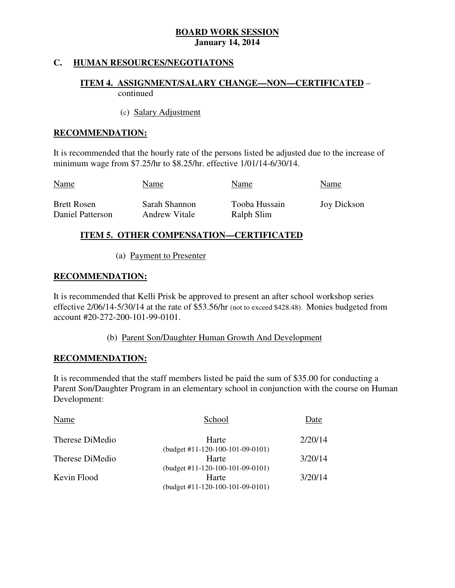# **C. HUMAN RESOURCES/NEGOTIATONS**

# **ITEM 4. ASSIGNMENT/SALARY CHANGE—NON—CERTIFICATED** – continued

### (c) Salary Adjustment

### **RECOMMENDATION:**

 It is recommended that the hourly rate of the persons listed be adjusted due to the increase of minimum wage from \$7.25/hr to \$8.25/hr. effective 1/01/14-6/30/14.

| <b>Name</b>        | Name          | Name          | Name        |
|--------------------|---------------|---------------|-------------|
| <b>Brett Rosen</b> | Sarah Shannon | Tooba Hussain | Joy Dickson |
| Daniel Patterson   | Andrew Vitale | Ralph Slim    |             |

# **ITEM 5. OTHER COMPENSATION—CERTIFICATED**

(a) Payment to Presenter

# **RECOMMENDATION:**

 It is recommended that Kelli Prisk be approved to present an after school workshop series effective 2/06/14-5/30/14 at the rate of \$53.56/hr (not to exceed \$428.48). Monies budgeted from account #20-272-200-101-99-0101.

(b) Parent Son/Daughter Human Growth And Development

### **RECOMMENDATION:**

 It is recommended that the staff members listed be paid the sum of \$35.00 for conducting a Parent Son/Daughter Program in an elementary school in conjunction with the course on Human Development:

| Name            | School                             |         |
|-----------------|------------------------------------|---------|
| Therese DiMedio | Harte                              | 2/20/14 |
|                 | $(budget #11-120-100-101-09-0101)$ |         |
| Therese DiMedio | Harte                              | 3/20/14 |
|                 | $(budget #11-120-100-101-09-0101)$ |         |
| Kevin Flood     | Harte                              | 3/20/14 |
|                 | (budget #11-120-100-101-09-0101)   |         |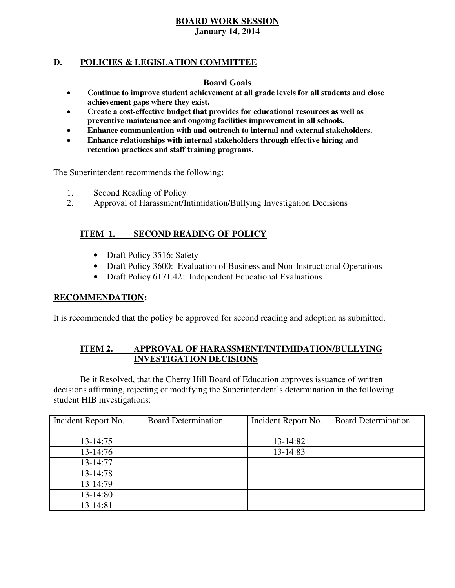# **D. POLICIES & LEGISLATION COMMITTEE**

### **Board Goals**

- **Continue to improve student achievement at all grade levels for all students and close achievement gaps where they exist.**
- **Create a cost-effective budget that provides for educational resources as well as preventive maintenance and ongoing facilities improvement in all schools.**
- **Enhance communication with and outreach to internal and external stakeholders.**
- **Enhance relationships with internal stakeholders through effective hiring and retention practices and staff training programs.**

The Superintendent recommends the following:

- 1. Second Reading of Policy
- 2. Approval of Harassment/Intimidation/Bullying Investigation Decisions

# **ITEM 1. SECOND READING OF POLICY**

- Draft Policy 3516: Safety
- Draft Policy 3600: Evaluation of Business and Non-Instructional Operations
- Draft Policy 6171.42: Independent Educational Evaluations

### **RECOMMENDATION:**

It is recommended that the policy be approved for second reading and adoption as submitted.

#### **ITEM 2. APPROVAL OF HARASSMENT/INTIMIDATION/BULLYING INVESTIGATION DECISIONS**

 decisions affirming, rejecting or modifying the Superintendent's determination in the following student HIB investigations: Be it Resolved, that the Cherry Hill Board of Education approves issuance of written

| Incident Report No. | <b>Board Determination</b> | Incident Report No. | <b>Board Determination</b> |
|---------------------|----------------------------|---------------------|----------------------------|
|                     |                            |                     |                            |
| 13-14:75            |                            | 13-14:82            |                            |
| 13-14:76            |                            | 13-14:83            |                            |
| 13-14:77            |                            |                     |                            |
| 13-14:78            |                            |                     |                            |
| 13-14:79            |                            |                     |                            |
| 13-14:80            |                            |                     |                            |
| 13-14:81            |                            |                     |                            |